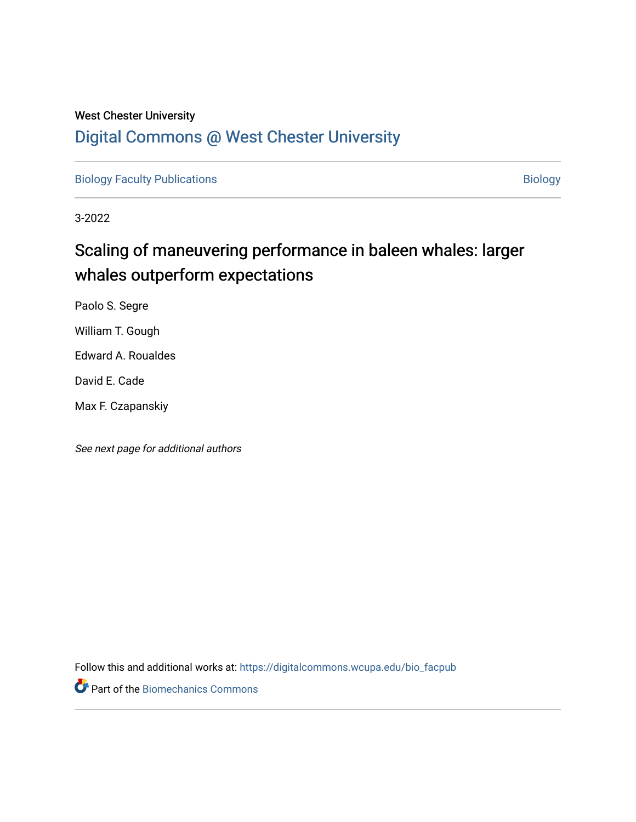# West Chester University [Digital Commons @ West Chester University](https://digitalcommons.wcupa.edu/)

[Biology Faculty Publications](https://digitalcommons.wcupa.edu/bio_facpub) and the state of the state of the [Biology](https://digitalcommons.wcupa.edu/bio) Biology

3-2022

# Scaling of maneuvering performance in baleen whales: larger whales outperform expectations

Paolo S. Segre

William T. Gough

Edward A. Roualdes

David E. Cade

Max F. Czapanskiy

See next page for additional authors

Follow this and additional works at: [https://digitalcommons.wcupa.edu/bio\\_facpub](https://digitalcommons.wcupa.edu/bio_facpub?utm_source=digitalcommons.wcupa.edu%2Fbio_facpub%2F72&utm_medium=PDF&utm_campaign=PDFCoverPages) 

Part of the [Biomechanics Commons](http://network.bepress.com/hgg/discipline/43?utm_source=digitalcommons.wcupa.edu%2Fbio_facpub%2F72&utm_medium=PDF&utm_campaign=PDFCoverPages)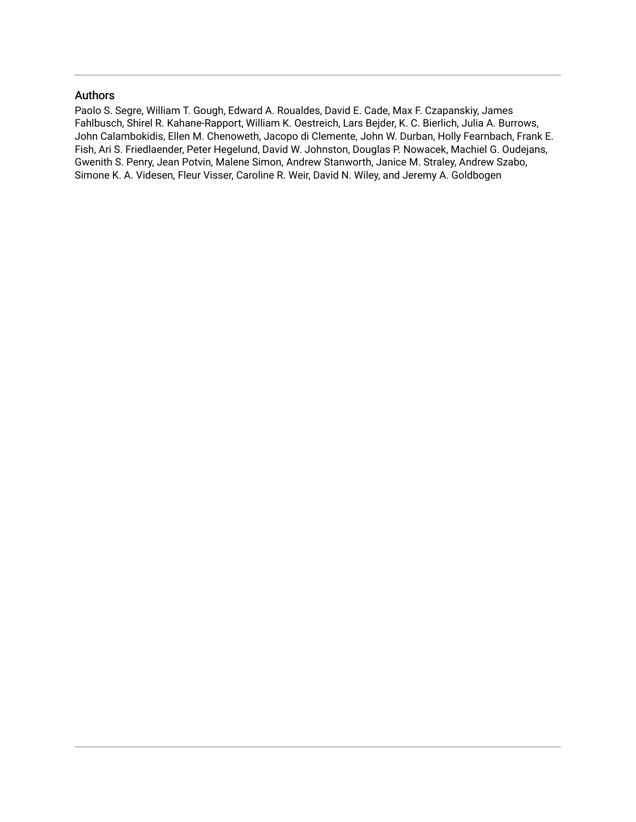# Authors

Paolo S. Segre, William T. Gough, Edward A. Roualdes, David E. Cade, Max F. Czapanskiy, James Fahlbusch, Shirel R. Kahane-Rapport, William K. Oestreich, Lars Bejder, K. C. Bierlich, Julia A. Burrows, John Calambokidis, Ellen M. Chenoweth, Jacopo di Clemente, John W. Durban, Holly Fearnbach, Frank E. Fish, Ari S. Friedlaender, Peter Hegelund, David W. Johnston, Douglas P. Nowacek, Machiel G. Oudejans, Gwenith S. Penry, Jean Potvin, Malene Simon, Andrew Stanworth, Janice M. Straley, Andrew Szabo, Simone K. A. Videsen, Fleur Visser, Caroline R. Weir, David N. Wiley, and Jeremy A. Goldbogen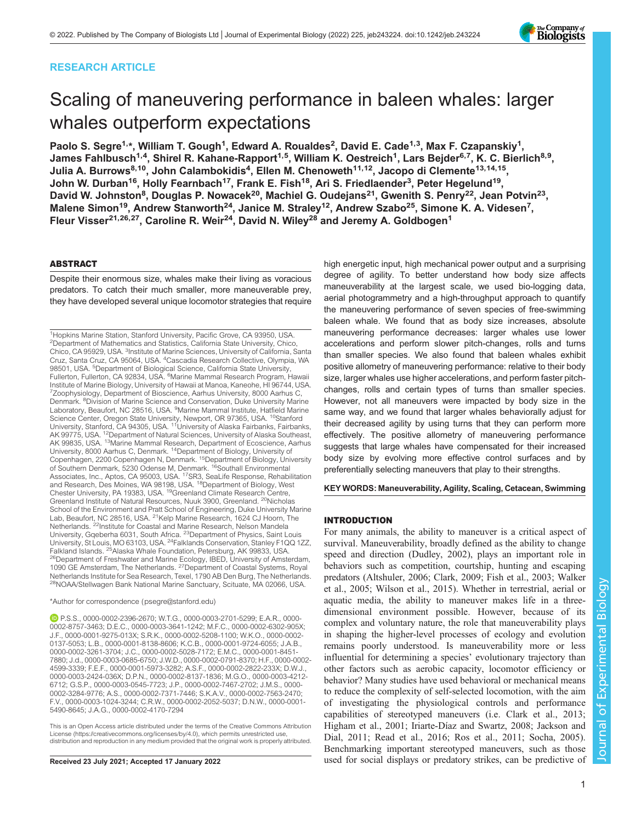# RESEARCH ARTICLE



# Scaling of maneuvering performance in baleen whales: larger whales outperform expectations

Paolo S. Segre<sup>1,</sup>\*, William T. Gough<sup>1</sup>, Edward A. Roualdes<sup>2</sup>, David E. Cade<sup>1,3</sup>, Max F. Czapanskiy<sup>1</sup>, James Fahlbusch<sup>1,4</sup>, Shirel R. Kahane-Rapport<sup>1,5</sup>, William K. Oestreich<sup>1</sup>, Lars Bejder<sup>6,7</sup>, K. C. Bierlich<sup>8,9</sup>, Julia A. Burrows<sup>8,10</sup>, John Calambokidis<sup>4</sup>, Ellen M. Chenoweth<sup>11,12</sup>, Jacopo di Clemente<sup>13,14,15</sup>, John W. Durban<sup>16</sup>, Holly Fearnbach<sup>17</sup>, Frank E. Fish<sup>18</sup>, Ari S. Friedlaender<sup>3</sup>, Peter Hegelund<sup>19</sup>, David W. Johnston<sup>8</sup>, Douglas P. Nowacek<sup>20</sup>, Machiel G. Oudejans<sup>21</sup>, Gwenith S. Penry<sup>22</sup>, Jean Potvin<sup>23</sup>, Malene Simon<sup>19</sup>, Andrew Stanworth<sup>24</sup>, Janice M. Straley<sup>12</sup>, Andrew Szabo<sup>25</sup>, Simone K. A. Videsen<sup>7</sup>, Fleur Visser<sup>21,26,27</sup>, Caroline R. Weir<sup>24</sup>, David N. Wiley<sup>28</sup> and Jeremy A. Goldbogen<sup>1</sup>

### ABSTRACT

Despite their enormous size, whales make their living as voracious predators. To catch their much smaller, more maneuverable prey, they have developed several unique locomotor strategies that require

<sup>1</sup>Hopkins Marine Station, Stanford University, Pacific Grove, CA 93950, USA. <sup>2</sup>Department of Mathematics and Statistics, California State University, Chico, Chico, CA 95929, USA. <sup>3</sup>Institute of Marine Sciences, University of California, Santa Cruz, Santa Cruz, CA 95064, USA. 4Cascadia Research Collective, Olympia, WA 98501, USA. <sup>5</sup>Department of Biological Science, California State University,<br>Fullerton, Fullerton, CA 92834, USA. <sup>6</sup>Marine Mammal Research Program, Hawaii Institute of Marine Biology, University of Hawaii at Manoa, Kaneohe, HI 96744, USA. <sup>7</sup>Zoophysiology, Department of Bioscience, Aarhus University, 8000 Aarhus C, Denmark. <sup>8</sup> Division of Marine Science and Conservation, Duke University Marine Laboratory, Beaufort, NC 28516, USA. <sup>9</sup>Marine Mammal Institute, Hatfield Marine Science Center, Oregon State University, Newport, OR 97365, USA. <sup>10</sup>Stanford<br>University, Stanford, CA 94305, USA. <sup>11</sup>University of Alaska Fairbanks, Fairbanks, AK 99775, USA. <sup>12</sup>Department of Natural Sciences, University of Alaska Southeast,<br>AK 99835, USA. <sup>13</sup>Marine Mammal Research, Department of Ecoscience, Aarhus University, 8000 Aarhus C, Denmark. 14Department of Biology, University of Copenhagen, 2200 Copenhagen N, Denmark. 15Department of Biology, University of Southern Denmark, 5230 Odense M, Denmark. <sup>16</sup>Southall Environmental Associates, Inc., Aptos, CA 95003, USA. <sup>17</sup>SR3, SeaLife Response, Rehabilitation and Research, Des Moines, WA 98198, USA. <sup>18</sup>Department of Biology, West Chester University, PA 19383, USA. 19Greenland Climate Research Centre, Greenland Institute of Natural Resources, Nuuk 3900, Greenland. 20Nicholas School of the Environment and Pratt School of Engineering, Duke University Marine Lab, Beaufort, NC 28516, USA. <sup>21</sup>Kelp Marine Research, 1624 CJ Hoorn, The Netherlands. <sup>22</sup>Institute for Coastal and Marine Research, Nelson Mandela University, Gqeberha 6031, South Africa. 23Department of Physics, Saint Louis University, St Louis, MO 63103, USA. <sup>24</sup>Falklands Conservation, Stanley F1QQ 1ZZ,<br>Falkland Islands. <sup>25</sup>Alaska Whale Foundation, Petersburg, AK 99833, USA. <sup>26</sup>Department of Freshwater and Marine Ecology, IBED, University of Amsterdam, 1090 GE Amsterdam, The Netherlands. 27Department of Coastal Systems, Royal Netherlands Institute for Sea Research, Texel, 1790 AB Den Burg, The Netherlands. <sup>28</sup>NOAA/Stellwagen Bank National Marine Sanctuary, Scituate, MA 02066, USA.

#### \*Author for correspondence [\(psegre@stanford.edu\)](mailto:psegre@stanford.edu)

P.S.S., [0000-0002-2396-2670;](http://orcid.org/0000-0002-2396-2670) W.T.G., [0000-0003-2701-5299;](http://orcid.org/0000-0003-2701-5299) E.A.R., [0000-](http://orcid.org/0000-0002-8757-3463) [0002-8757-3463;](http://orcid.org/0000-0002-8757-3463) D.E.C., [0000-0003-3641-1242](http://orcid.org/0000-0003-3641-1242); M.F.C., [0000-0002-6302-905X](http://orcid.org/0000-0002-6302-905X); J.F., [0000-0001-9275-013X;](http://orcid.org/0000-0001-9275-013X) S.R.K., [0000-0002-5208-1100;](http://orcid.org/0000-0002-5208-1100) W.K.O., [0000-0002-](http://orcid.org/0000-0002-0137-5053) [0137-5053](http://orcid.org/0000-0002-0137-5053); L.B., [0000-0001-8138-8606;](http://orcid.org/0000-0001-8138-8606) K.C.B., [0000-0001-9724-6055;](http://orcid.org/0000-0001-9724-6055) J.A.B., [0000-0002-3261-3704;](http://orcid.org/0000-0002-3261-3704) J.C., [0000-0002-5028-7172;](http://orcid.org/0000-0002-5028-7172) E.M.C., [0000-0001-8451-](http://orcid.org/0000-0001-8451-7880) [7880](http://orcid.org/0000-0001-8451-7880); J.d., [0000-0003-0685-6750](http://orcid.org/0000-0003-0685-6750); J.W.D., [0000-0002-0791-8370;](http://orcid.org/0000-0002-0791-8370) H.F., [0000-0002-](http://orcid.org/0000-0002-4599-3339) [4599-3339](http://orcid.org/0000-0002-4599-3339); F.E.F., [0000-0001-5973-3282;](http://orcid.org/0000-0001-5973-3282) A.S.F., [0000-0002-2822-233X;](http://orcid.org/0000-0002-2822-233X) D.W.J., [0000-0003-2424-036X](http://orcid.org/0000-0003-2424-036X); D.P.N., [0000-0002-8137-1836](http://orcid.org/0000-0002-8137-1836); M.G.O., [0000-0003-4212-](http://orcid.org/0000-0003-4212-6712) [6712](http://orcid.org/0000-0003-4212-6712); G.S.P., [0000-0003-0545-7723](http://orcid.org/0000-0003-0545-7723); J.P., [0000-0002-7467-2702;](http://orcid.org/0000-0002-7467-2702) J.M.S., [0000-](http://orcid.org/0000-0002-3284-9776) [0002-3284-9776;](http://orcid.org/0000-0002-3284-9776) A.S., [0000-0002-7371-7446](http://orcid.org/0000-0002-7371-7446); S.K.A.V., [0000-0002-7563-2470;](http://orcid.org/0000-0002-7563-2470) F.V., [0000-0003-1024-3244;](http://orcid.org/0000-0003-1024-3244) C.R.W., [0000-0002-2052-5037](http://orcid.org/0000-0002-2052-5037); D.N.W., [0000-0001-](http://orcid.org/0000-0001-5490-8645) [5490-8645](http://orcid.org/0000-0001-5490-8645); J.A.G., [0000-0002-4170-7294](http://orcid.org/0000-0002-4170-7294)

This is an Open Access article distributed under the terms of the Creative Commons Attribution License (https://creativecommons.org/licenses/by/4.0), which permits unrestricted use, distribution and reproduction in any medium provided that the original work is properly attributed.

high energetic input, high mechanical power output and a surprising degree of agility. To better understand how body size affects maneuverability at the largest scale, we used bio-logging data, aerial photogrammetry and a high-throughput approach to quantify the maneuvering performance of seven species of free-swimming baleen whale. We found that as body size increases, absolute maneuvering performance decreases: larger whales use lower accelerations and perform slower pitch-changes, rolls and turns than smaller species. We also found that baleen whales exhibit positive allometry of maneuvering performance: relative to their body size, larger whales use higher accelerations, and perform faster pitchchanges, rolls and certain types of turns than smaller species. However, not all maneuvers were impacted by body size in the same way, and we found that larger whales behaviorally adjust for their decreased agility by using turns that they can perform more effectively. The positive allometry of maneuvering performance suggests that large whales have compensated for their increased body size by evolving more effective control surfaces and by preferentially selecting maneuvers that play to their strengths.

KEY WORDS: Maneuverability, Agility, Scaling, Cetacean, Swimming

#### INTRODUCTION

For many animals, the ability to maneuver is a critical aspect of survival. Maneuverability, broadly defined as the ability to change speed and direction ([Dudley, 2002\)](#page-15-0), plays an important role in behaviors such as competition, courtship, hunting and escaping predators ([Altshuler, 2006](#page-15-0); [Clark, 2009](#page-15-0); [Fish et al., 2003](#page-15-0); [Walker](#page-16-0) [et al., 2005; Wilson et al., 2015](#page-16-0)). Whether in terrestrial, aerial or aquatic media, the ability to maneuver makes life in a threedimensional environment possible. However, because of its complex and voluntary nature, the role that maneuverability plays in shaping the higher-level processes of ecology and evolution remains poorly understood. Is maneuverability more or less influential for determining a species' evolutionary trajectory than other factors such as aerobic capacity, locomotor efficiency or behavior? Many studies have used behavioral or mechanical means to reduce the complexity of self-selected locomotion, with the aim of investigating the physiological controls and performance capabilities of stereotyped maneuvers (i.e. [Clark et al., 2013](#page-15-0); [Higham et al., 2001](#page-15-0); [Iriarte-Díaz and Swartz, 2008](#page-15-0); [Jackson and](#page-15-0) [Dial, 2011;](#page-15-0) [Read et al., 2016; Ros et al., 2011; Socha, 2005\)](#page-16-0). Benchmarking important stereotyped maneuvers, such as those Received 23 July 2021; Accepted 17 January 2022 used for social displays or predatory strikes, can be predictive of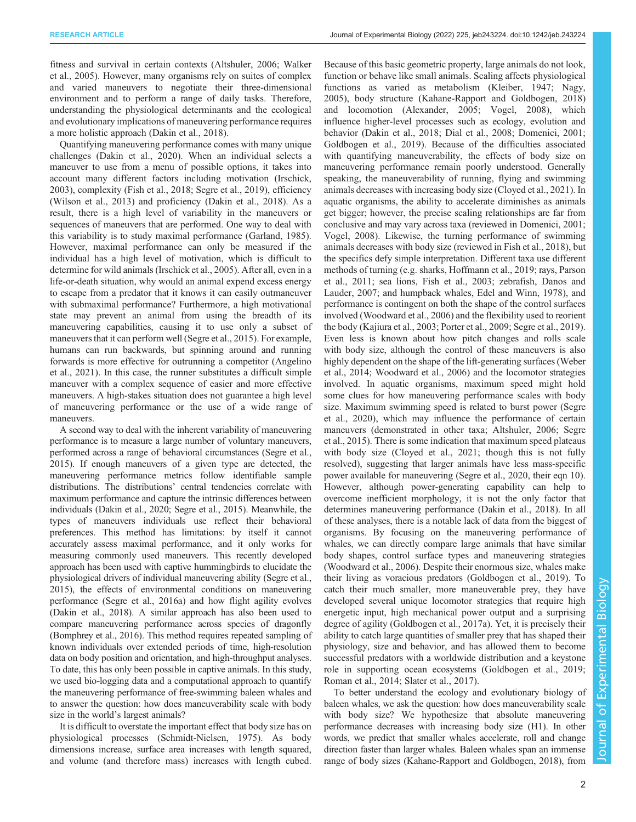fitness and survival in certain contexts [\(Altshuler, 2006;](#page-15-0) [Walker](#page-16-0) [et al., 2005\)](#page-16-0). However, many organisms rely on suites of complex and varied maneuvers to negotiate their three-dimensional environment and to perform a range of daily tasks. Therefore, understanding the physiological determinants and the ecological and evolutionary implications of maneuvering performance requires a more holistic approach ([Dakin et al., 2018\)](#page-15-0).

Quantifying maneuvering performance comes with many unique challenges ([Dakin et al., 2020\)](#page-15-0). When an individual selects a maneuver to use from a menu of possible options, it takes into account many different factors including motivation [\(Irschick,](#page-15-0) [2003](#page-15-0)), complexity ([Fish et al., 2018;](#page-15-0) [Segre et al., 2019\)](#page-16-0), efficiency [\(Wilson et al., 2013\)](#page-16-0) and proficiency ([Dakin et al., 2018](#page-15-0)). As a result, there is a high level of variability in the maneuvers or sequences of maneuvers that are performed. One way to deal with this variability is to study maximal performance ([Garland, 1985\)](#page-15-0). However, maximal performance can only be measured if the individual has a high level of motivation, which is difficult to determine for wild animals ([Irschick et al., 2005](#page-15-0)). After all, even in a life-or-death situation, why would an animal expend excess energy to escape from a predator that it knows it can easily outmaneuver with submaximal performance? Furthermore, a high motivational state may prevent an animal from using the breadth of its maneuvering capabilities, causing it to use only a subset of maneuvers that it can perform well [\(Segre et al., 2015](#page-16-0)). For example, humans can run backwards, but spinning around and running forwards is more effective for outrunning a competitor ([Angelino](#page-15-0) [et al., 2021\)](#page-15-0). In this case, the runner substitutes a difficult simple maneuver with a complex sequence of easier and more effective maneuvers. A high-stakes situation does not guarantee a high level of maneuvering performance or the use of a wide range of maneuvers.

A second way to deal with the inherent variability of maneuvering performance is to measure a large number of voluntary maneuvers, performed across a range of behavioral circumstances [\(Segre et al.,](#page-16-0) [2015\)](#page-16-0). If enough maneuvers of a given type are detected, the maneuvering performance metrics follow identifiable sample distributions. The distributions' central tendencies correlate with maximum performance and capture the intrinsic differences between individuals ([Dakin et al., 2020](#page-15-0); [Segre et al., 2015\)](#page-16-0). Meanwhile, the types of maneuvers individuals use reflect their behavioral preferences. This method has limitations: by itself it cannot accurately assess maximal performance, and it only works for measuring commonly used maneuvers. This recently developed approach has been used with captive hummingbirds to elucidate the physiological drivers of individual maneuvering ability ([Segre et al.,](#page-16-0) [2015\)](#page-16-0), the effects of environmental conditions on maneuvering performance ([Segre et al., 2016a\)](#page-16-0) and how flight agility evolves [\(Dakin et al., 2018\)](#page-15-0). A similar approach has also been used to compare maneuvering performance across species of dragonfly [\(Bomphrey et al., 2016\)](#page-15-0). This method requires repeated sampling of known individuals over extended periods of time, high-resolution data on body position and orientation, and high-throughput analyses. To date, this has only been possible in captive animals. In this study, we used bio-logging data and a computational approach to quantify the maneuvering performance of free-swimming baleen whales and to answer the question: how does maneuverability scale with body size in the world's largest animals?

It is difficult to overstate the important effect that body size has on physiological processes ([Schmidt-Nielsen, 1975\)](#page-16-0). As body dimensions increase, surface area increases with length squared, and volume (and therefore mass) increases with length cubed. Because of this basic geometric property, large animals do not look, function or behave like small animals. Scaling affects physiological functions as varied as metabolism [\(Kleiber, 1947;](#page-15-0) [Nagy,](#page-16-0) [2005\)](#page-16-0), body structure [\(Kahane-Rapport and Goldbogen, 2018\)](#page-15-0) and locomotion ([Alexander, 2005](#page-14-0); [Vogel, 2008](#page-16-0)), which influence higher-level processes such as ecology, evolution and behavior [\(Dakin et al., 2018; Dial et al., 2008](#page-15-0); [Domenici, 2001](#page-15-0); [Goldbogen et al., 2019](#page-15-0)). Because of the difficulties associated with quantifying maneuverability, the effects of body size on maneuvering performance remain poorly understood. Generally speaking, the maneuverability of running, flying and swimming animals decreases with increasing body size [\(Cloyed et al., 2021\)](#page-15-0). In aquatic organisms, the ability to accelerate diminishes as animals get bigger; however, the precise scaling relationships are far from conclusive and may vary across taxa (reviewed in [Domenici, 2001](#page-15-0); [Vogel, 2008\)](#page-16-0). Likewise, the turning performance of swimming animals decreases with body size (reviewed in [Fish et al., 2018\)](#page-15-0), but the specifics defy simple interpretation. Different taxa use different methods of turning (e.g. sharks, [Hoffmann et al., 2019](#page-15-0); rays, [Parson](#page-16-0) [et al., 2011](#page-16-0); sea lions, [Fish et al., 2003;](#page-15-0) zebrafish, [Danos and](#page-15-0) [Lauder, 2007](#page-15-0); and humpback whales, [Edel and Winn, 1978\)](#page-15-0), and performance is contingent on both the shape of the control surfaces involved ([Woodward et al., 2006\)](#page-16-0) and the flexibility used to reorient the body [\(Kajiura et al., 2003](#page-15-0); [Porter et al., 2009](#page-16-0); [Segre et al., 2019\)](#page-16-0). Even less is known about how pitch changes and rolls scale with body size, although the control of these maneuvers is also highly dependent on the shape of the lift-generating surfaces [\(Weber](#page-16-0) [et al., 2014; Woodward et al., 2006\)](#page-16-0) and the locomotor strategies involved. In aquatic organisms, maximum speed might hold some clues for how maneuvering performance scales with body size. Maximum swimming speed is related to burst power ([Segre](#page-16-0) [et al., 2020\)](#page-16-0), which may influence the performance of certain maneuvers (demonstrated in other taxa; [Altshuler, 2006](#page-15-0); [Segre](#page-16-0) [et al., 2015](#page-16-0)). There is some indication that maximum speed plateaus with body size [\(Cloyed et al., 2021](#page-15-0); though this is not fully resolved), suggesting that larger animals have less mass-specific power available for maneuvering [\(Segre et al., 2020](#page-16-0), their eqn 10). However, although power-generating capability can help to overcome inefficient morphology, it is not the only factor that determines maneuvering performance [\(Dakin et al., 2018](#page-15-0)). In all of these analyses, there is a notable lack of data from the biggest of organisms. By focusing on the maneuvering performance of whales, we can directly compare large animals that have similar body shapes, control surface types and maneuvering strategies [\(Woodward et al., 2006\)](#page-16-0). Despite their enormous size, whales make their living as voracious predators ([Goldbogen et al., 2019](#page-15-0)). To catch their much smaller, more maneuverable prey, they have developed several unique locomotor strategies that require high energetic input, high mechanical power output and a surprising degree of agility ([Goldbogen et al., 2017a](#page-15-0)). Yet, it is precisely their ability to catch large quantities of smaller prey that has shaped their physiology, size and behavior, and has allowed them to become successful predators with a worldwide distribution and a keystone role in supporting ocean ecosystems ([Goldbogen et al., 2019](#page-15-0); [Roman et al., 2014](#page-16-0); [Slater et al., 2017](#page-16-0)).

To better understand the ecology and evolutionary biology of baleen whales, we ask the question: how does maneuverability scale with body size? We hypothesize that absolute maneuvering performance decreases with increasing body size (H1). In other words, we predict that smaller whales accelerate, roll and change direction faster than larger whales. Baleen whales span an immense range of body sizes ([Kahane-Rapport and Goldbogen, 2018\)](#page-15-0), from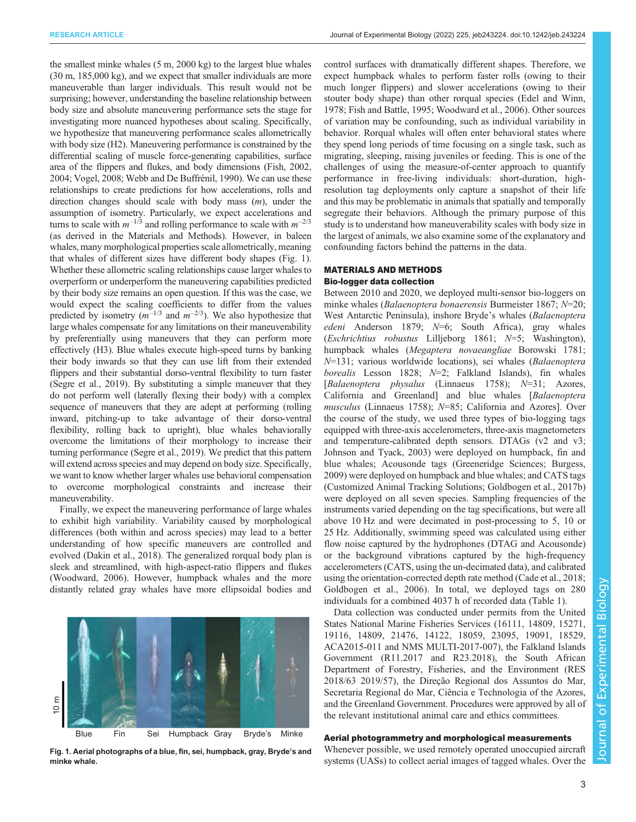the smallest minke whales (5 m, 2000 kg) to the largest blue whales (30 m, 185,000 kg), and we expect that smaller individuals are more maneuverable than larger individuals. This result would not be surprising; however, understanding the baseline relationship between body size and absolute maneuvering performance sets the stage for investigating more nuanced hypotheses about scaling. Specifically, we hypothesize that maneuvering performance scales allometrically with body size (H2). Maneuvering performance is constrained by the differential scaling of muscle force-generating capabilities, surface area of the flippers and flukes, and body dimensions [\(Fish, 2002,](#page-15-0) [2004;](#page-15-0) [Vogel, 2008; Webb and De Buffrénil, 1990\)](#page-16-0). We can use these relationships to create predictions for how accelerations, rolls and direction changes should scale with body mass  $(m)$ , under the assumption of isometry. Particularly, we expect accelerations and turns to scale with  $m^{-1/3}$  and rolling performance to scale with  $m^{-2/3}$ (as derived in the Materials and Methods). However, in baleen whales, many morphological properties scale allometrically, meaning that whales of different sizes have different body shapes (Fig. 1). Whether these allometric scaling relationships cause larger whales to overperform or underperform the maneuvering capabilities predicted by their body size remains an open question. If this was the case, we would expect the scaling coefficients to differ from the values predicted by isometry  $(m^{-1/3}$  and  $m^{-2/3})$ . We also hypothesize that large whales compensate for any limitations on their maneuverability by preferentially using maneuvers that they can perform more effectively (H3). Blue whales execute high-speed turns by banking their body inwards so that they can use lift from their extended flippers and their substantial dorso-ventral flexibility to turn faster [\(Segre et al., 2019\)](#page-16-0). By substituting a simple maneuver that they do not perform well (laterally flexing their body) with a complex sequence of maneuvers that they are adept at performing (rolling inward, pitching-up to take advantage of their dorso-ventral flexibility, rolling back to upright), blue whales behaviorally overcome the limitations of their morphology to increase their turning performance ([Segre et al., 2019](#page-16-0)). We predict that this pattern will extend across species and may depend on body size. Specifically, we want to know whether larger whales use behavioral compensation to overcome morphological constraints and increase their maneuverability.

Finally, we expect the maneuvering performance of large whales to exhibit high variability. Variability caused by morphological differences (both within and across species) may lead to a better understanding of how specific maneuvers are controlled and evolved [\(Dakin et al., 2018\)](#page-15-0). The generalized rorqual body plan is sleek and streamlined, with high-aspect-ratio flippers and flukes [\(Woodward, 2006\)](#page-16-0). However, humpback whales and the more distantly related gray whales have more ellipsoidal bodies and



Fig. 1. Aerial photographs of a blue, fin, sei, humpback, gray, Bryde's and minke whale.

control surfaces with dramatically different shapes. Therefore, we expect humpback whales to perform faster rolls (owing to their much longer flippers) and slower accelerations (owing to their stouter body shape) than other rorqual species ([Edel and Winn,](#page-15-0) [1978; Fish and Battle, 1995](#page-15-0); [Woodward et al., 2006\)](#page-16-0). Other sources of variation may be confounding, such as individual variability in behavior. Rorqual whales will often enter behavioral states where they spend long periods of time focusing on a single task, such as migrating, sleeping, raising juveniles or feeding. This is one of the challenges of using the measure-of-center approach to quantify performance in free-living individuals: short-duration, highresolution tag deployments only capture a snapshot of their life and this may be problematic in animals that spatially and temporally segregate their behaviors. Although the primary purpose of this study is to understand how maneuverability scales with body size in the largest of animals, we also examine some of the explanatory and confounding factors behind the patterns in the data.

# MATERIALS AND METHODS

# Bio-logger data collection

Between 2010 and 2020, we deployed multi-sensor bio-loggers on minke whales (Balaenoptera bonaerensis Burmeister 1867; N=20; West Antarctic Peninsula), inshore Bryde's whales (Balaenoptera edeni Anderson 1879;  $N=6$ ; South Africa), gray whales (Eschrichtius robustus Lilljeborg 1861; N=5; Washington), humpback whales (Megaptera novaeangliae Borowski 1781; N=131; various worldwide locations), sei whales (Balaenoptera borealis Lesson 1828;  $N=2$ ; Falkland Islands), fin whales [Balaenoptera physalus (Linnaeus 1758); N=31; Azores, California and Greenland] and blue whales [Balaenoptera musculus (Linnaeus 1758); N=85; California and Azores]. Over the course of the study, we used three types of bio-logging tags equipped with three-axis accelerometers, three-axis magnetometers and temperature-calibrated depth sensors. DTAGs (v2 and v3; [Johnson and Tyack, 2003\)](#page-15-0) were deployed on humpback, fin and blue whales; Acousonde tags (Greeneridge Sciences; [Burgess,](#page-15-0) [2009\)](#page-15-0) were deployed on humpback and blue whales; and CATS tags (Customized Animal Tracking Solutions; [Goldbogen et al., 2017b\)](#page-15-0) were deployed on all seven species. Sampling frequencies of the instruments varied depending on the tag specifications, but were all above 10 Hz and were decimated in post-processing to 5, 10 or 25 Hz. Additionally, swimming speed was calculated using either flow noise captured by the hydrophones (DTAG and Acousonde) or the background vibrations captured by the high-frequency accelerometers (CATS, using the un-decimated data), and calibrated using the orientation-corrected depth rate method [\(Cade et al., 2018](#page-15-0); [Goldbogen et al., 2006](#page-15-0)). In total, we deployed tags on 280 individuals for a combined 4037 h of recorded data [\(Table 1](#page-5-0)).

Data collection was conducted under permits from the United States National Marine Fisheries Services (16111, 14809, 15271, 19116, 14809, 21476, 14122, 18059, 23095, 19091, 18529, ACA2015-011 and NMS MULTI-2017-007), the Falkland Islands Government (R11.2017 and R23.2018), the South African Department of Forestry, Fisheries, and the Environment (RES 2018/63 2019/57), the Direção Regional dos Assuntos do Mar, Secretaria Regional do Mar, Ciência e Technologia of the Azores, and the Greenland Government. Procedures were approved by all of the relevant institutional animal care and ethics committees.

# Aerial photogrammetry and morphological measurements

Whenever possible, we used remotely operated unoccupied aircraft systems (UASs) to collect aerial images of tagged whales. Over the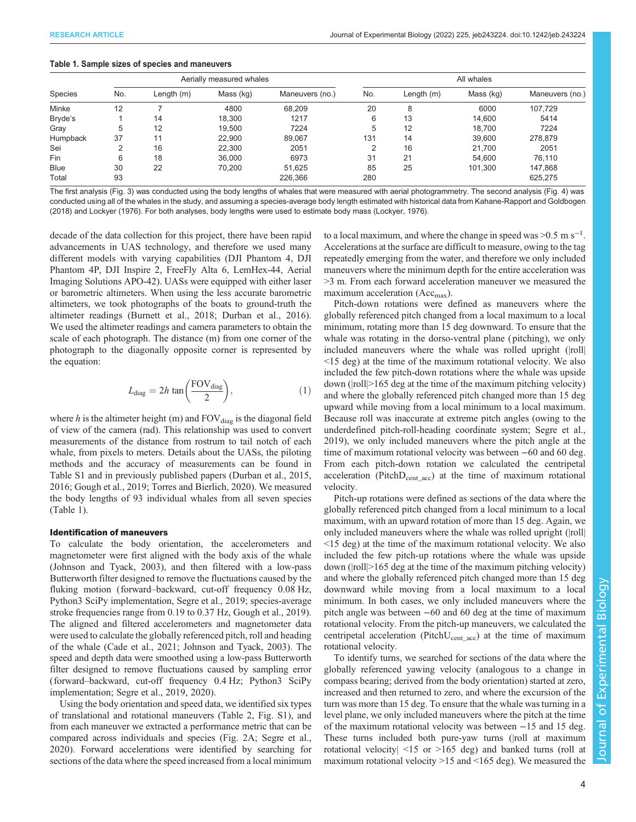<span id="page-5-0"></span>

|  |  |  |  |  |  |  | Table 1. Sample sizes of species and maneuvers |  |
|--|--|--|--|--|--|--|------------------------------------------------|--|
|--|--|--|--|--|--|--|------------------------------------------------|--|

|             |     | Aerially measured whales |           |                 |     | All whales |           |                 |  |  |
|-------------|-----|--------------------------|-----------|-----------------|-----|------------|-----------|-----------------|--|--|
| Species     | No. | Length $(m)$             | Mass (kg) | Maneuvers (no.) | No. | Length (m) | Mass (kg) | Maneuvers (no.) |  |  |
| Minke       | 12  |                          | 4800      | 68.209          | 20  | 8          | 6000      | 107.729         |  |  |
| Bryde's     |     | 14                       | 18.300    | 1217            | 6   | 13         | 14.600    | 5414            |  |  |
| Gray        | 5   | 12                       | 19.500    | 7224            | 5   | 12         | 18.700    | 7224            |  |  |
| Humpback    | 37  | 11                       | 22,900    | 89.067          | 131 | 14         | 39.600    | 278,879         |  |  |
| Sei         | ◠   | 16                       | 22,300    | 2051            | ◠   | 16         | 21.700    | 2051            |  |  |
| Fin         | 6   | 18                       | 36,000    | 6973            | 31  | 21         | 54.600    | 76,110          |  |  |
| <b>Blue</b> | 30  | 22                       | 70.200    | 51.625          | 85  | 25         | 101.300   | 147,868         |  |  |
| Total       | 93  |                          |           | 226,366         | 280 |            |           | 625,275         |  |  |

The first analysis [\(Fig. 3\)](#page-10-0) was conducted using the body lengths of whales that were measured with aerial photogrammetry. The second analysis [\(Fig. 4\)](#page-11-0) was conducted using all of the whales in the study, and assuming a species-average body length estimated with historical data from [Kahane-Rapport and Goldbogen](#page-15-0) [\(2018\)](#page-15-0) and [Lockyer \(1976\).](#page-15-0) For both analyses, body lengths were used to estimate body mass [\(Lockyer, 1976\)](#page-15-0).

decade of the data collection for this project, there have been rapid advancements in UAS technology, and therefore we used many different models with varying capabilities (DJI Phantom 4, DJI Phantom 4P, DJI Inspire 2, FreeFly Alta 6, LemHex-44, Aerial Imaging Solutions APO-42). UASs were equipped with either laser or barometric altimeters. When using the less accurate barometric altimeters, we took photographs of the boats to ground-truth the altimeter readings ([Burnett et al., 2018](#page-15-0); [Durban et al., 2016\)](#page-15-0). We used the altimeter readings and camera parameters to obtain the scale of each photograph. The distance (m) from one corner of the photograph to the diagonally opposite corner is represented by the equation:

$$
L_{\text{diag}} = 2h \tan\left(\frac{\text{FOV}_{\text{diag}}}{2}\right),\tag{1}
$$

where h is the altimeter height (m) and  $FOV_{diag}$  is the diagonal field of view of the camera (rad). This relationship was used to convert measurements of the distance from rostrum to tail notch of each whale, from pixels to meters. Details about the UASs, the piloting methods and the accuracy of measurements can be found in [Table S1](https://journals.biologists.com/jeb/article-lookup/DOI/10.1242/jeb.243224) and in previously published papers ([Durban et al., 2015,](#page-15-0) [2016](#page-15-0); [Gough et al., 2019](#page-15-0); [Torres and Bierlich, 2020\)](#page-16-0). We measured the body lengths of 93 individual whales from all seven species (Table 1).

## Identification of maneuvers

To calculate the body orientation, the accelerometers and magnetometer were first aligned with the body axis of the whale [\(Johnson and Tyack, 2003\)](#page-15-0), and then filtered with a low-pass Butterworth filter designed to remove the fluctuations caused by the fluking motion (forward–backward, cut-off frequency 0.08 Hz, Python3 SciPy implementation, [Segre et al., 2019](#page-16-0); species-average stroke frequencies range from 0.19 to 0.37 Hz, [Gough et al., 2019\)](#page-15-0). The aligned and filtered accelerometers and magnetometer data were used to calculate the globally referenced pitch, roll and heading of the whale [\(Cade et al., 2021; Johnson and Tyack, 2003](#page-15-0)). The speed and depth data were smoothed using a low-pass Butterworth filter designed to remove fluctuations caused by sampling error (forward–backward, cut-off frequency 0.4 Hz; Python3 SciPy implementation; [Segre et al., 2019, 2020\)](#page-16-0).

Using the body orientation and speed data, we identified six types of translational and rotational maneuvers ([Table 2,](#page-6-0) [Fig. S1](https://journals.biologists.com/jeb/article-lookup/DOI/10.1242/jeb.243224)), and from each maneuver we extracted a performance metric that can be compared across individuals and species ([Fig. 2A](#page-6-0); [Segre et al.,](#page-16-0) [2020](#page-16-0)). Forward accelerations were identified by searching for sections of the data where the speed increased from a local minimum

to a local maximum, and where the change in speed was > $0.5 \text{ m s}^{-1}$ . Accelerations at the surface are difficult to measure, owing to the tag repeatedly emerging from the water, and therefore we only included maneuvers where the minimum depth for the entire acceleration was >3 m. From each forward acceleration maneuver we measured the maximum acceleration  $(Acc<sub>max</sub>)$ .

Pitch-down rotations were defined as maneuvers where the globally referenced pitch changed from a local maximum to a local minimum, rotating more than 15 deg downward. To ensure that the whale was rotating in the dorso-ventral plane ( pitching), we only included maneuvers where the whale was rolled upright (|roll| <15 deg) at the time of the maximum rotational velocity. We also included the few pitch-down rotations where the whale was upside down (|roll|>165 deg at the time of the maximum pitching velocity) and where the globally referenced pitch changed more than 15 deg upward while moving from a local minimum to a local maximum. Because roll was inaccurate at extreme pitch angles (owing to the underdefined pitch-roll-heading coordinate system; [Segre et al.,](#page-16-0) [2019\)](#page-16-0), we only included maneuvers where the pitch angle at the time of maximum rotational velocity was between −60 and 60 deg. From each pitch-down rotation we calculated the centripetal acceleration (Pitch $D_{cent \, acc}$ ) at the time of maximum rotational velocity.

Pitch-up rotations were defined as sections of the data where the globally referenced pitch changed from a local minimum to a local maximum, with an upward rotation of more than 15 deg. Again, we only included maneuvers where the whale was rolled upright (|roll| <15 deg) at the time of the maximum rotational velocity. We also included the few pitch-up rotations where the whale was upside down (|roll|>165 deg at the time of the maximum pitching velocity) and where the globally referenced pitch changed more than 15 deg downward while moving from a local maximum to a local minimum. In both cases, we only included maneuvers where the pitch angle was between −60 and 60 deg at the time of maximum rotational velocity. From the pitch-up maneuvers, we calculated the centripetal acceleration (Pitch $U_{\text{cent-acc}}$ ) at the time of maximum rotational velocity.

To identify turns, we searched for sections of the data where the globally referenced yawing velocity (analogous to a change in compass bearing; derived from the body orientation) started at zero, increased and then returned to zero, and where the excursion of the turn was more than 15 deg. To ensure that the whale was turning in a level plane, we only included maneuvers where the pitch at the time of the maximum rotational velocity was between −15 and 15 deg. These turns included both pure-yaw turns (|roll at maximum rotational velocity| <15 or >165 deg) and banked turns (roll at maximum rotational velocity >15 and <165 deg). We measured the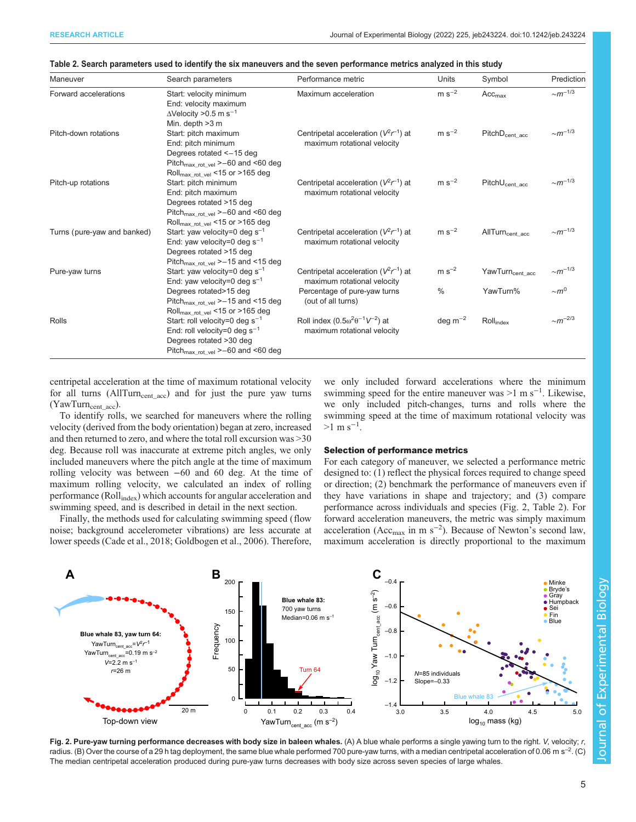| Maneuver                    | Search parameters                                                                                                                                                             | Performance metric                                                            | Units         | Symbol                                 | Prediction               |
|-----------------------------|-------------------------------------------------------------------------------------------------------------------------------------------------------------------------------|-------------------------------------------------------------------------------|---------------|----------------------------------------|--------------------------|
| Forward accelerations       | Start: velocity minimum<br>End: velocity maximum<br>$\Delta$ Velocity >0.5 m s <sup>-1</sup><br>Min. depth >3 m                                                               | Maximum acceleration                                                          | $m s^{-2}$    | $Acc_{max}$                            | $\sim$ m <sup>-1/3</sup> |
| Pitch-down rotations        | Start: pitch maximum<br>End: pitch minimum<br>Degrees rotated <- 15 deg<br>Pitch <sub>max rot yel</sub> $\geq -60$ and <60 deg<br>Roll <sub>max_rot_vel</sub> <15 or >165 deg | Centripetal acceleration ( $V^2r^{-1}$ ) at<br>maximum rotational velocity    | $m s^{-2}$    | PitchD <sub>cent acc</sub>             | $~\sim m^{-1/3}$         |
| Pitch-up rotations          | Start: pitch minimum<br>End: pitch maximum<br>Degrees rotated >15 deg<br>Pitch <sub>max_rot_vel</sub> >-60 and <60 deg<br>Roll <sub>max_rot_vel</sub> <15 or >165 deg         | Centripetal acceleration ( $V^2r^{-1}$ ) at<br>maximum rotational velocity    | $m s^{-2}$    | $\mathsf{PitchU}_{\mathsf{cent\_acc}}$ | ${\sim}m^{-1/3}$         |
| Turns (pure-yaw and banked) | Start: yaw velocity=0 deg $s^{-1}$<br>End: yaw velocity=0 deg $s^{-1}$<br>Degrees rotated >15 deg<br>Pitch $_{\text{max\_rot\_vel}}$ > -15 and <15 deg                        | Centripetal acceleration ( $V^2r^{-1}$ ) at<br>maximum rotational velocity    | $m s-2$       | $AllTurn_{cent\_acc}$                  | ${\sim}m^{-1/3}$         |
| Pure-yaw turns              | Start: yaw velocity=0 deg $s^{-1}$<br>End: yaw velocity=0 deg $s^{-1}$                                                                                                        | Centripetal acceleration ( $V^2r^{-1}$ ) at<br>maximum rotational velocity    | $m s-2$       | YawTurn <sub>cent_acc</sub>            | $~\sim m^{-1/3}$         |
|                             | Degrees rotated>15 deg<br>Pitch <sub>max_rot_vel</sub> >-15 and <15 deg<br>Roll <sub>max_rot_vel</sub> <15 or >165 deg                                                        | Percentage of pure-yaw turns<br>(out of all turns)                            | $\frac{0}{0}$ | YawTurn%                               | $\sim m^0$               |
| Rolls                       | Start: roll velocity=0 deg $s^{-1}$<br>End: roll velocity=0 deg $s^{-1}$<br>Degrees rotated >30 deg<br>Pitch $_{\text{max\_rot\_vel}}$ >-60 and <60 deg                       | Roll index $(0.5\omega^2\theta^{-1}V^{-2})$ at<br>maximum rotational velocity | deg $m^{-2}$  | $\text{Roll}_{index}$                  | $\sim m^{-2/3}$          |

<span id="page-6-0"></span>

| Table 2. Search parameters used to identify the six maneuvers and the seven performance metrics analyzed in this study |  |  |  |
|------------------------------------------------------------------------------------------------------------------------|--|--|--|
|                                                                                                                        |  |  |  |

centripetal acceleration at the time of maximum rotational velocity for all turns (AllTurn<sub>cent\_acc</sub>) and for just the pure yaw turns  $(YawTurn_{cent\_acc}).$ 

To identify rolls, we searched for maneuvers where the rolling velocity (derived from the body orientation) began at zero, increased and then returned to zero, and where the total roll excursion was >30 deg. Because roll was inaccurate at extreme pitch angles, we only included maneuvers where the pitch angle at the time of maximum rolling velocity was between −60 and 60 deg. At the time of maximum rolling velocity, we calculated an index of rolling performance (Rollindex) which accounts for angular acceleration and swimming speed, and is described in detail in the next section.

Finally, the methods used for calculating swimming speed (flow noise; background accelerometer vibrations) are less accurate at lower speeds [\(Cade et al., 2018; Goldbogen et al., 2006\)](#page-15-0). Therefore, we only included forward accelerations where the minimum swimming speed for the entire maneuver was >1 m s<sup>-1</sup>. Likewise, we only included pitch-changes, turns and rolls where the swimming speed at the time of maximum rotational velocity was  $>1 \text{ m s}^{-1}$ .

### Selection of performance metrics

For each category of maneuver, we selected a performance metric designed to: (1) reflect the physical forces required to change speed or direction; (2) benchmark the performance of maneuvers even if they have variations in shape and trajectory; and (3) compare performance across individuals and species (Fig. 2, Table 2). For forward acceleration maneuvers, the metric was simply maximum acceleration ( $Acc_{max}$  in m s<sup>-2</sup>). Because of Newton's second law, maximum acceleration is directly proportional to the maximum



Fig. 2. Pure-yaw turning performance decreases with body size in baleen whales. (A) A blue whale performs a single yawing turn to the right. V, velocity; r, radius. (B) Over the course of a 29 h tag deployment, the same blue whale performed 700 pure-yaw turns, with a median centripetal acceleration of 0.06 m s<sup>-2</sup>. (C) The median centripetal acceleration produced during pure-yaw turns decreases with body size across seven species of large whales.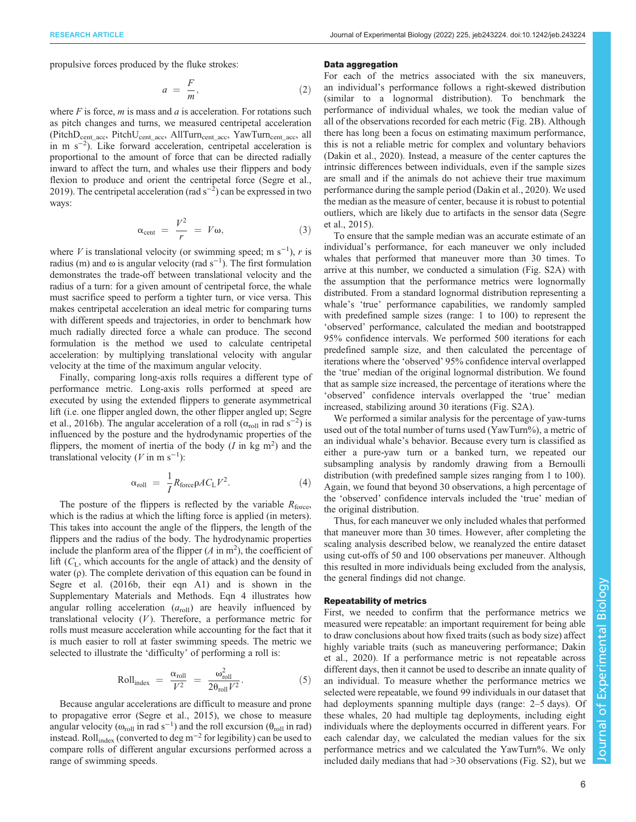propulsive forces produced by the fluke strokes:

$$
a = \frac{F}{m},\tag{2}
$$

where  $F$  is force,  $m$  is mass and  $a$  is acceleration. For rotations such as pitch changes and turns, we measured centripetal acceleration (PitchD<sub>cent\_acc</sub>, PitchU<sub>cent\_acc</sub>, AllTurn<sub>cent\_acc</sub>, YawTurn<sub>cent\_acc</sub>, all in m s−<sup>2</sup> ). Like forward acceleration, centripetal acceleration is proportional to the amount of force that can be directed radially inward to affect the turn, and whales use their flippers and body flexion to produce and orient the centripetal force ([Segre et al.,](#page-16-0) [2019](#page-16-0)). The centripetal acceleration (rad  $s^{-2}$ ) can be expressed in two ways:

$$
\alpha_{\text{cent}} = \frac{V^2}{r} = V\omega, \tag{3}
$$

where V is translational velocity (or swimming speed; m s<sup>-1</sup>), r is radius (m) and  $\omega$  is angular velocity (rad s<sup>-1</sup>). The first formulation demonstrates the trade-off between translational velocity and the radius of a turn: for a given amount of centripetal force, the whale must sacrifice speed to perform a tighter turn, or vice versa. This makes centripetal acceleration an ideal metric for comparing turns with different speeds and trajectories, in order to benchmark how much radially directed force a whale can produce. The second formulation is the method we used to calculate centripetal acceleration: by multiplying translational velocity with angular velocity at the time of the maximum angular velocity.

Finally, comparing long-axis rolls requires a different type of performance metric. Long-axis rolls performed at speed are executed by using the extended flippers to generate asymmetrical lift (i.e. one flipper angled down, the other flipper angled up; [Segre](#page-16-0) [et al., 2016b](#page-16-0)). The angular acceleration of a roll  $(\alpha_{roll}$  in rad s<sup>-2</sup>) is influenced by the posture and the hydrodynamic properties of the flippers, the moment of inertia of the body  $(I \text{ in } kg \text{ m}^2)$  and the translational velocity ( $V$  in m s<sup>-1</sup>):

$$
\alpha_{\text{roll}} = \frac{1}{I} R_{\text{force}} \rho A C_{\text{L}} V^2. \tag{4}
$$

The posture of the flippers is reflected by the variable  $R_{\text{force}}$ , which is the radius at which the lifting force is applied (in meters). This takes into account the angle of the flippers, the length of the flippers and the radius of the body. The hydrodynamic properties include the planform area of the flipper  $(A \text{ in } m^2)$ , the coefficient of lift  $(C<sub>L</sub>$ , which accounts for the angle of attack) and the density of water  $(\rho)$ . The complete derivation of this equation can be found in [Segre et al. \(2016b,](#page-16-0) their eqn A1) and is shown in the Supplementary Materials and Methods. Eqn 4 illustrates how angular rolling acceleration  $(a_{roll})$  are heavily influenced by translational velocity  $(V)$ . Therefore, a performance metric for rolls must measure acceleration while accounting for the fact that it is much easier to roll at faster swimming speeds. The metric we selected to illustrate the 'difficulty' of performing a roll is:

$$
\text{Roll}_{\text{index}} = \frac{\alpha_{\text{roll}}}{V^2} = \frac{\omega_{\text{roll}}^2}{2\theta_{\text{roll}}V^2}.
$$
 (5)

Because angular accelerations are difficult to measure and prone to propagative error ([Segre et al., 2015\)](#page-16-0), we chose to measure angular velocity ( $\omega_{\text{roll}}$  in rad s<sup>-1</sup>) and the roll excursion ( $\theta_{\text{roll}}$  in rad) instead. Roll<sub>index</sub> (converted to deg m<sup>-2</sup> for legibility) can be used to compare rolls of different angular excursions performed across a range of swimming speeds.

#### Data aggregation

For each of the metrics associated with the six maneuvers, an individual's performance follows a right-skewed distribution (similar to a lognormal distribution). To benchmark the performance of individual whales, we took the median value of all of the observations recorded for each metric [\(Fig. 2](#page-6-0)B). Although there has long been a focus on estimating maximum performance, this is not a reliable metric for complex and voluntary behaviors [\(Dakin et al., 2020\)](#page-15-0). Instead, a measure of the center captures the intrinsic differences between individuals, even if the sample sizes are small and if the animals do not achieve their true maximum performance during the sample period ([Dakin et al., 2020\)](#page-15-0). We used the median as the measure of center, because it is robust to potential outliers, which are likely due to artifacts in the sensor data ([Segre](#page-16-0) [et al., 2015\)](#page-16-0).

To ensure that the sample median was an accurate estimate of an individual's performance, for each maneuver we only included whales that performed that maneuver more than 30 times. To arrive at this number, we conducted a simulation [\(Fig. S2A](https://journals.biologists.com/jeb/article-lookup/DOI/10.1242/jeb.243224)) with the assumption that the performance metrics were lognormally distributed. From a standard lognormal distribution representing a whale's 'true' performance capabilities, we randomly sampled with predefined sample sizes (range: 1 to 100) to represent the 'observed' performance, calculated the median and bootstrapped 95% confidence intervals. We performed 500 iterations for each predefined sample size, and then calculated the percentage of iterations where the 'observed' 95% confidence interval overlapped the 'true' median of the original lognormal distribution. We found that as sample size increased, the percentage of iterations where the 'observed' confidence intervals overlapped the 'true' median increased, stabilizing around 30 iterations [\(Fig. S2A\)](https://journals.biologists.com/jeb/article-lookup/DOI/10.1242/jeb.243224).

We performed a similar analysis for the percentage of yaw-turns used out of the total number of turns used (YawTurn%), a metric of an individual whale's behavior. Because every turn is classified as either a pure-yaw turn or a banked turn, we repeated our subsampling analysis by randomly drawing from a Bernoulli distribution (with predefined sample sizes ranging from 1 to 100). Again, we found that beyond 30 observations, a high percentage of the 'observed' confidence intervals included the 'true' median of the original distribution.

Thus, for each maneuver we only included whales that performed that maneuver more than 30 times. However, after completing the scaling analysis described below, we reanalyzed the entire dataset using cut-offs of 50 and 100 observations per maneuver. Although this resulted in more individuals being excluded from the analysis, the general findings did not change.

### Repeatability of metrics

First, we needed to confirm that the performance metrics we measured were repeatable: an important requirement for being able to draw conclusions about how fixed traits (such as body size) affect highly variable traits (such as maneuvering performance; [Dakin](#page-15-0) [et al., 2020\)](#page-15-0). If a performance metric is not repeatable across different days, then it cannot be used to describe an innate quality of an individual. To measure whether the performance metrics we selected were repeatable, we found 99 individuals in our dataset that had deployments spanning multiple days (range: 2–5 days). Of these whales, 20 had multiple tag deployments, including eight individuals where the deployments occurred in different years. For each calendar day, we calculated the median values for the six performance metrics and we calculated the YawTurn%. We only included daily medians that had >30 observations ([Fig. S2](https://journals.biologists.com/jeb/article-lookup/DOI/10.1242/jeb.243224)), but we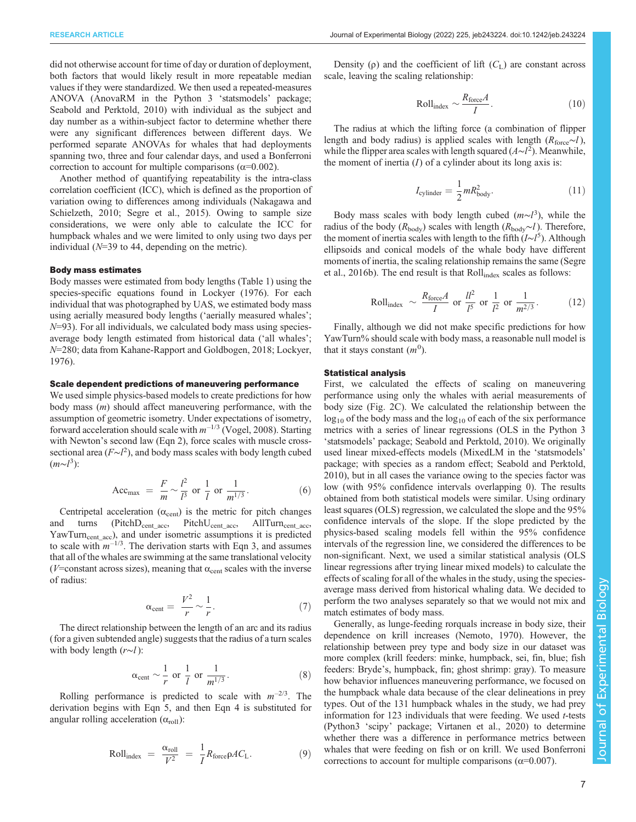did not otherwise account for time of day or duration of deployment, both factors that would likely result in more repeatable median values if they were standardized. We then used a repeated-measures ANOVA (AnovaRM in the Python 3 'statsmodels' package; [Seabold and Perktold, 2010\)](#page-16-0) with individual as the subject and day number as a within-subject factor to determine whether there were any significant differences between different days. We performed separate ANOVAs for whales that had deployments spanning two, three and four calendar days, and used a Bonferroni correction to account for multiple comparisons ( $\alpha$ =0.002).

Another method of quantifying repeatability is the intra-class correlation coefficient (ICC), which is defined as the proportion of variation owing to differences among individuals ([Nakagawa and](#page-16-0) [Schielzeth, 2010](#page-16-0); [Segre et al., 2015\)](#page-16-0). Owing to sample size considerations, we were only able to calculate the ICC for humpback whales and we were limited to only using two days per individual  $(N=39)$  to 44, depending on the metric).

#### Body mass estimates

Body masses were estimated from body lengths [\(Table 1](#page-5-0)) using the species-specific equations found in [Lockyer \(1976\).](#page-15-0) For each individual that was photographed by UAS, we estimated body mass using aerially measured body lengths ('aerially measured whales';  $N=93$ ). For all individuals, we calculated body mass using speciesaverage body length estimated from historical data ('all whales'; N=280; data from [Kahane-Rapport and Goldbogen, 2018; Lockyer,](#page-15-0) [1976](#page-15-0)).

#### Scale dependent predictions of maneuvering performance

We used simple physics-based models to create predictions for how body mass (m) should affect maneuvering performance, with the assumption of geometric isometry. Under expectations of isometry, forward acceleration should scale with  $m^{-1/3}$  ([Vogel, 2008\)](#page-16-0). Starting with Newton's second law (Eqn 2), force scales with muscle crosssectional area  $(F\sim l^2)$ , and body mass scales with body length cubed  $(m \sim l^3)$ :

$$
\text{Acc}_{\text{max}} = \frac{F}{m} \sim \frac{l^2}{l^3} \text{ or } \frac{1}{l} \text{ or } \frac{1}{m^{1/3}}. \tag{6}
$$

Centripetal acceleration ( $\alpha_{\text{cent}}$ ) is the metric for pitch changes and turns  $(PitchD_{cent\_acc}, PitchU_{cent\_acc}, AllTurn_{cent\_acc},$ YawTurn<sub>cent\_acc</sub>), and under isometric assumptions it is predicted to scale with  $m^{-1/3}$ . The derivation starts with Eqn 3, and assumes that all of the whales are swimming at the same translational velocity ( $V$ =constant across sizes), meaning that  $\alpha_{cent}$  scales with the inverse of radius:

$$
\alpha_{\text{cent}} = \frac{V^2}{r} \sim \frac{1}{r}.\tag{7}
$$

The direct relationship between the length of an arc and its radius (for a given subtended angle) suggests that the radius of a turn scales with body length (r∼l):

$$
\alpha_{\text{cent}} \sim \frac{1}{r} \text{ or } \frac{1}{l} \text{ or } \frac{1}{m^{1/3}}.
$$
 (8)

Rolling performance is predicted to scale with  $m^{-2/3}$ . The derivation begins with Eqn 5, and then Eqn 4 is substituted for angular rolling acceleration  $(\alpha_{roll})$ :

$$
Roll_{index} = \frac{\alpha_{roll}}{V^2} = \frac{1}{I} R_{force} \rho A C_L.
$$
 (9)

Density ( $\rho$ ) and the coefficient of lift ( $C_L$ ) are constant across scale, leaving the scaling relationship:

$$
Roll_{index} \sim \frac{R_{force}A}{I}.
$$
 (10)

The radius at which the lifting force (a combination of flipper length and body radius) is applied scales with length ( $R_{\text{force}} \sim l$ ), while the flipper area scales with length squared  $(A \sim l^2)$ . Meanwhile, the moment of inertia  $(I)$  of a cylinder about its long axis is:

$$
I_{\text{cylinder}} = \frac{1}{2} m R_{\text{body}}^2.
$$
 (11)

Body mass scales with body length cubed  $(m \sim l^3)$ , while the radius of the body ( $R_{\text{body}}$ ) scales with length ( $R_{\text{body}} \sim l$ ). Therefore, the moment of inertia scales with length to the fifth (I∼I<sup>5</sup>). Although ellipsoids and conical models of the whale body have different moments of inertia, the scaling relationship remains the same ([Segre](#page-16-0) [et al., 2016b](#page-16-0)). The end result is that  $Roll_{index}$  scales as follows:

Roll<sub>index</sub> 
$$
\sim \frac{R_{\text{force}}A}{I}
$$
 or  $\frac{ll^2}{I^5}$  or  $\frac{1}{l^2}$  or  $\frac{1}{m^{2/3}}$ . (12)

Finally, although we did not make specific predictions for how YawTurn% should scale with body mass, a reasonable null model is that it stays constant  $(m^0)$ .

## Statistical analysis

First, we calculated the effects of scaling on maneuvering performance using only the whales with aerial measurements of body size [\(Fig. 2C](#page-6-0)). We calculated the relationship between the  $log_{10}$  of the body mass and the  $log_{10}$  of each of the six performance metrics with a series of linear regressions (OLS in the Python 3 'statsmodels' package; [Seabold and Perktold, 2010](#page-16-0)). We originally used linear mixed-effects models (MixedLM in the 'statsmodels' package; with species as a random effect; [Seabold and Perktold,](#page-16-0) [2010\)](#page-16-0), but in all cases the variance owing to the species factor was low (with 95% confidence intervals overlapping 0). The results obtained from both statistical models were similar. Using ordinary least squares (OLS) regression, we calculated the slope and the 95% confidence intervals of the slope. If the slope predicted by the physics-based scaling models fell within the 95% confidence intervals of the regression line, we considered the differences to be non-significant. Next, we used a similar statistical analysis (OLS linear regressions after trying linear mixed models) to calculate the effects of scaling for all of the whales in the study, using the speciesaverage mass derived from historical whaling data. We decided to perform the two analyses separately so that we would not mix and match estimates of body mass.

Generally, as lunge-feeding rorquals increase in body size, their dependence on krill increases ([Nemoto, 1970](#page-16-0)). However, the relationship between prey type and body size in our dataset was more complex (krill feeders: minke, humpback, sei, fin, blue; fish feeders: Bryde's, humpback, fin; ghost shrimp: gray). To measure how behavior influences maneuvering performance, we focused on the humpback whale data because of the clear delineations in prey types. Out of the 131 humpback whales in the study, we had prey information for 123 individuals that were feeding. We used t-tests (Python3 'scipy' package; [Virtanen et al., 2020](#page-16-0)) to determine whether there was a difference in performance metrics between whales that were feeding on fish or on krill. We used Bonferroni corrections to account for multiple comparisons ( $\alpha$ =0.007).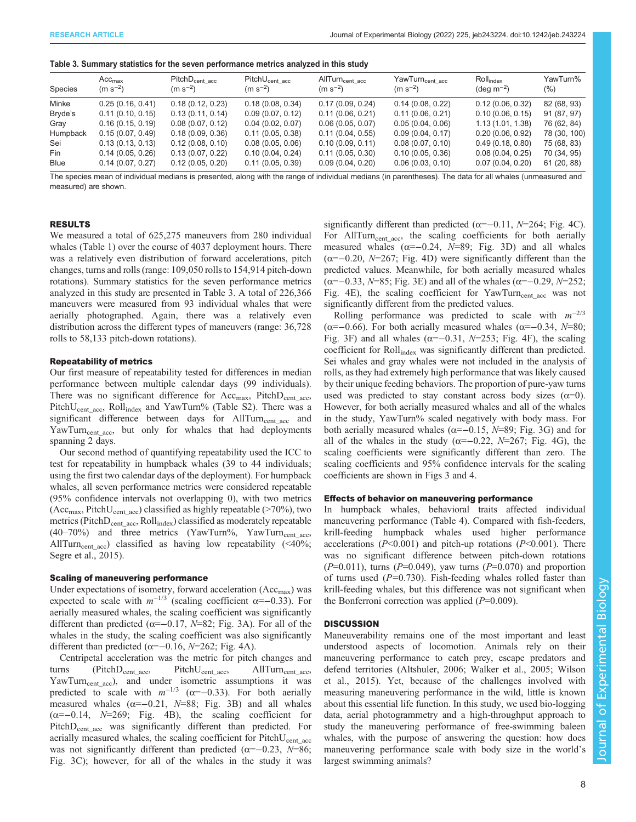|  |  | Table 3. Summary statistics for the seven performance metrics analyzed in this study |  |  |
|--|--|--------------------------------------------------------------------------------------|--|--|
|--|--|--------------------------------------------------------------------------------------|--|--|

| Species     | Acc <sub>max</sub><br>$(m s^{-2})$ | $PitchD_{cent \; acc}$<br>$(m s^{-2})$ | $PitchU_{cent \ acc}$<br>$(m s^{-2})$ | AllTurn <sub>cent acc</sub><br>$(m s^{-2})$ | YawTurn <sub>centacc</sub><br>$(m s^{-2})$ | $Roll_{index}$<br>$(\text{deg m}^{-2})$ | YawTurn%<br>$(\% )$ |
|-------------|------------------------------------|----------------------------------------|---------------------------------------|---------------------------------------------|--------------------------------------------|-----------------------------------------|---------------------|
| Minke       | 0.25(0.16, 0.41)                   | 0.18(0.12, 0.23)                       | 0.18(0.08, 0.34)                      | 0.17(0.09, 0.24)                            | 0.14(0.08, 0.22)                           | 0.12(0.06, 0.32)                        | 82 (68, 93)         |
| Bryde's     | 0.11(0.10, 0.15)                   | 0.13(0.11, 0.14)                       | 0.09(0.07, 0.12)                      | 0.11(0.06, 0.21)                            | 0.11(0.06, 0.21)                           | 0.10(0.06, 0.15)                        | 91 (87, 97)         |
| Gray        | 0.16(0.15, 0.19)                   | 0.08(0.07, 0.12)                       | 0.04(0.02, 0.07)                      | 0.06(0.05, 0.07)                            | 0.05(0.04, 0.06)                           | 1.13(1.01, 1.38)                        | 76 (62, 84)         |
| Humpback    | 0.15(0.07, 0.49)                   | 0.18(0.09, 0.36)                       | 0.11(0.05, 0.38)                      | 0.11(0.04, 0.55)                            | 0.09(0.04, 0.17)                           | 0.20(0.06, 0.92)                        | 78 (30, 100)        |
| Sei         | 0.13(0.13, 0.13)                   | 0.12(0.08, 0.10)                       | 0.08(0.05, 0.06)                      | 0.10(0.09, 0.11)                            | 0.08(0.07, 0.10)                           | 0.49(0.18, 0.80)                        | 75 (68, 83)         |
| Fin         | 0.14(0.05, 0.26)                   | 0.13(0.07, 0.22)                       | 0.10(0.04, 0.24)                      | 0.11(0.05, 0.30)                            | 0.10(0.05, 0.36)                           | 0.08(0.04, 0.25)                        | 70 (34, 95)         |
| <b>Blue</b> | 0.14(0.07, 0.27)                   | 0.12(0.05, 0.20)                       | 0.11(0.05, 0.39)                      | 0.09(0.04, 0.20)                            | 0.06(0.03, 0.10)                           | 0.07(0.04, 0.20)                        | 61(20, 88)          |

The species mean of individual medians is presented, along with the range of individual medians (in parentheses). The data for all whales (unmeasured and measured) are shown.

#### RESULTS

We measured a total of 625,275 maneuvers from 280 individual whales ([Table 1](#page-5-0)) over the course of 4037 deployment hours. There was a relatively even distribution of forward accelerations, pitch changes, turns and rolls (range: 109,050 rolls to 154,914 pitch-down rotations). Summary statistics for the seven performance metrics analyzed in this study are presented in Table 3. A total of 226,366 maneuvers were measured from 93 individual whales that were aerially photographed. Again, there was a relatively even distribution across the different types of maneuvers (range: 36,728 rolls to 58,133 pitch-down rotations).

#### Repeatability of metrics

Our first measure of repeatability tested for differences in median performance between multiple calendar days (99 individuals). There was no significant difference for  $Acc_{\text{max}}$ , Pitch $D_{\text{cent\_acc}}$ , Pitch $U_{cent}$ <sub>acc</sub>, Roll<sub>index</sub> and YawTurn% [\(Table S2](https://journals.biologists.com/jeb/article-lookup/DOI/10.1242/jeb.243224)). There was a significant difference between days for AllTurn<sub>cent acc</sub> and YawTurn<sub>cent acc</sub>, but only for whales that had deployments spanning 2 days.

Our second method of quantifying repeatability used the ICC to test for repeatability in humpback whales (39 to 44 individuals; using the first two calendar days of the deployment). For humpback whales, all seven performance metrics were considered repeatable (95% confidence intervals not overlapping 0), with two metrics (Acc<sub>max</sub>, PitchU<sub>cent\_acc</sub>) classified as highly repeatable (>70%), two metrics (Pitch $D_{cent\_acc}$ , Roll<sub>index</sub>) classified as moderately repeatable  $(40-70%)$  and three metrics (YawTurn%, YawTurn<sub>cent acc</sub>, AllTurn<sub>cent acc</sub>) classified as having low repeatability (<40%; [Segre et al., 2015](#page-16-0)).

### Scaling of maneuvering performance

Under expectations of isometry, forward acceleration  $(Acc<sub>max</sub>)$  was expected to scale with  $m^{-1/3}$  (scaling coefficient  $\alpha = -0.33$ ). For aerially measured whales, the scaling coefficient was significantly different than predicted ( $\alpha = -0.17$ ,  $N=82$ ; [Fig. 3](#page-10-0)A). For all of the whales in the study, the scaling coefficient was also significantly different than predicted ( $\alpha$ =−0.16, N=262; [Fig. 4A](#page-11-0)).

Centripetal acceleration was the metric for pitch changes and turns  $(PitchD_{cent_{acc}},$  Pitch $U_{cent\_acc},$  AllTurn<sub>cent\_acc</sub>, YawTurn<sub>cent acc</sub>), and under isometric assumptions it was predicted to scale with  $m^{-1/3}$  ( $\alpha = -0.33$ ). For both aerially measured whales ( $\alpha = -0.21$ ,  $N = 88$ ; [Fig. 3](#page-10-0)B) and all whales  $(\alpha=-0.14, N=269;$  [Fig. 4B](#page-11-0)), the scaling coefficient for PitchD<sub>cent acc</sub> was significantly different than predicted. For aerially measured whales, the scaling coefficient for  $PitchU_{cent,acc}$ was not significantly different than predicted ( $\alpha$ =−0.23, N=86; [Fig. 3C](#page-10-0)); however, for all of the whales in the study it was

significantly different than predicted ( $\alpha = -0.11$ ,  $N = 264$ ; [Fig. 4](#page-11-0)C). For AllTurn<sub>cent\_acc</sub>, the scaling coefficients for both aerially measured whales ( $\alpha = -0.24$ ,  $N=89$ ; [Fig. 3D](#page-10-0)) and all whales  $(\alpha=-0.20, N=267; Fig. 4D)$  $(\alpha=-0.20, N=267; Fig. 4D)$  $(\alpha=-0.20, N=267; Fig. 4D)$  were significantly different than the predicted values. Meanwhile, for both aerially measured whales ( $\alpha$ =−0.33, N=85; [Fig. 3](#page-10-0)E) and all of the whales ( $\alpha$ =−0.29, N=252; [Fig. 4](#page-11-0)E), the scaling coefficient for  $YawTurn_{cent}$  acc was not significantly different from the predicted values.

Rolling performance was predicted to scale with  $m^{-2/3}$ ( $\alpha$ =−0.66). For both aerially measured whales ( $\alpha$ =−0.34, N=80; [Fig. 3F](#page-10-0)) and all whales ( $\alpha = -0.31$ ,  $N = 253$ ; [Fig. 4](#page-11-0)F), the scaling coefficient for Roll<sub>index</sub> was significantly different than predicted. Sei whales and gray whales were not included in the analysis of rolls, as they had extremely high performance that was likely caused by their unique feeding behaviors. The proportion of pure-yaw turns used was predicted to stay constant across body sizes  $(\alpha=0)$ . However, for both aerially measured whales and all of the whales in the study, YawTurn% scaled negatively with body mass. For both aerially measured whales ( $\alpha = -0.15$ ,  $N = 89$ ; [Fig. 3](#page-10-0)G) and for all of the whales in the study ( $\alpha = -0.22$ ,  $N=267$ ; [Fig. 4G](#page-11-0)), the scaling coefficients were significantly different than zero. The scaling coefficients and 95% confidence intervals for the scaling coefficients are shown in [Figs 3](#page-10-0) and [4.](#page-11-0)

## Effects of behavior on maneuvering performance

In humpback whales, behavioral traits affected individual maneuvering performance ([Table 4\)](#page-11-0). Compared with fish-feeders, krill-feeding humpback whales used higher performance accelerations ( $P<0.001$ ) and pitch-up rotations ( $P<0.001$ ). There was no significant difference between pitch-down rotations  $(P=0.011)$ , turns  $(P=0.049)$ , yaw turns  $(P=0.070)$  and proportion of turns used  $(P=0.730)$ . Fish-feeding whales rolled faster than krill-feeding whales, but this difference was not significant when the Bonferroni correction was applied  $(P=0.009)$ .

#### **DISCUSSION**

Maneuverability remains one of the most important and least understood aspects of locomotion. Animals rely on their maneuvering performance to catch prey, escape predators and defend territories ([Altshuler, 2006](#page-15-0); [Walker et al., 2005](#page-16-0); [Wilson](#page-16-0) [et al., 2015\)](#page-16-0). Yet, because of the challenges involved with measuring maneuvering performance in the wild, little is known about this essential life function. In this study, we used bio-logging data, aerial photogrammetry and a high-throughput approach to study the maneuvering performance of free-swimming baleen whales, with the purpose of answering the question: how does maneuvering performance scale with body size in the world's largest swimming animals?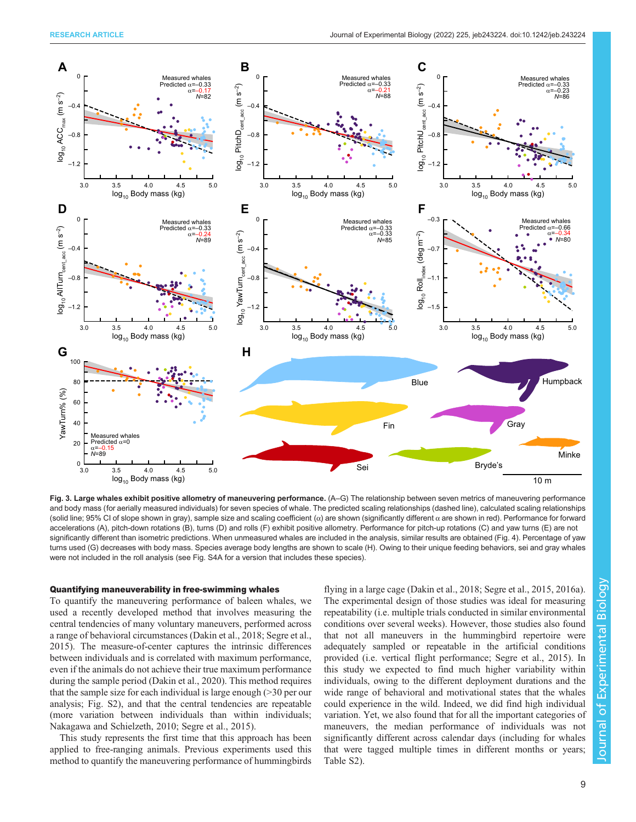<span id="page-10-0"></span>

Fig. 3. Large whales exhibit positive allometry of maneuvering performance. (A-G) The relationship between seven metrics of maneuvering performance and body mass (for aerially measured individuals) for seven species of whale. The predicted scaling relationships (dashed line), calculated scaling relationships (solid line; 95% CI of slope shown in gray), sample size and scaling coefficient  $(\alpha)$  are shown (significantly different  $\alpha$  are shown in red). Performance for forward accelerations (A), pitch-down rotations (B), turns (D) and rolls (F) exhibit positive allometry. Performance for pitch-up rotations (C) and yaw turns (E) are not significantly different than isometric predictions. When unmeasured whales are included in the analysis, similar results are obtained ([Fig. 4](#page-11-0)). Percentage of yaw turns used (G) decreases with body mass. Species average body lengths are shown to scale (H). Owing to their unique feeding behaviors, sei and gray whales were not included in the roll analysis (see [Fig. S4A](https://journals.biologists.com/jeb/article-lookup/DOI/10.1242/jeb.243224) for a version that includes these species).

### Quantifying maneuverability in free-swimming whales

To quantify the maneuvering performance of baleen whales, we used a recently developed method that involves measuring the central tendencies of many voluntary maneuvers, performed across a range of behavioral circumstances ([Dakin et al., 2018](#page-15-0); [Segre et al.,](#page-16-0) [2015](#page-16-0)). The measure-of-center captures the intrinsic differences between individuals and is correlated with maximum performance, even if the animals do not achieve their true maximum performance during the sample period [\(Dakin et al., 2020](#page-15-0)). This method requires that the sample size for each individual is large enough (>30 per our analysis; [Fig. S2\)](https://journals.biologists.com/jeb/article-lookup/DOI/10.1242/jeb.243224), and that the central tendencies are repeatable (more variation between individuals than within individuals; [Nakagawa and Schielzeth, 2010; Segre et al., 2015](#page-16-0)).

This study represents the first time that this approach has been applied to free-ranging animals. Previous experiments used this method to quantify the maneuvering performance of hummingbirds

flying in a large cage [\(Dakin et al., 2018;](#page-15-0) [Segre et al., 2015, 2016a\)](#page-16-0). The experimental design of those studies was ideal for measuring repeatability (i.e. multiple trials conducted in similar environmental conditions over several weeks). However, those studies also found that not all maneuvers in the hummingbird repertoire were adequately sampled or repeatable in the artificial conditions provided (i.e. vertical flight performance; [Segre et al., 2015\)](#page-16-0). In this study we expected to find much higher variability within individuals, owing to the different deployment durations and the wide range of behavioral and motivational states that the whales could experience in the wild. Indeed, we did find high individual variation. Yet, we also found that for all the important categories of maneuvers, the median performance of individuals was not significantly different across calendar days (including for whales that were tagged multiple times in different months or years; [Table S2\)](https://journals.biologists.com/jeb/article-lookup/DOI/10.1242/jeb.243224).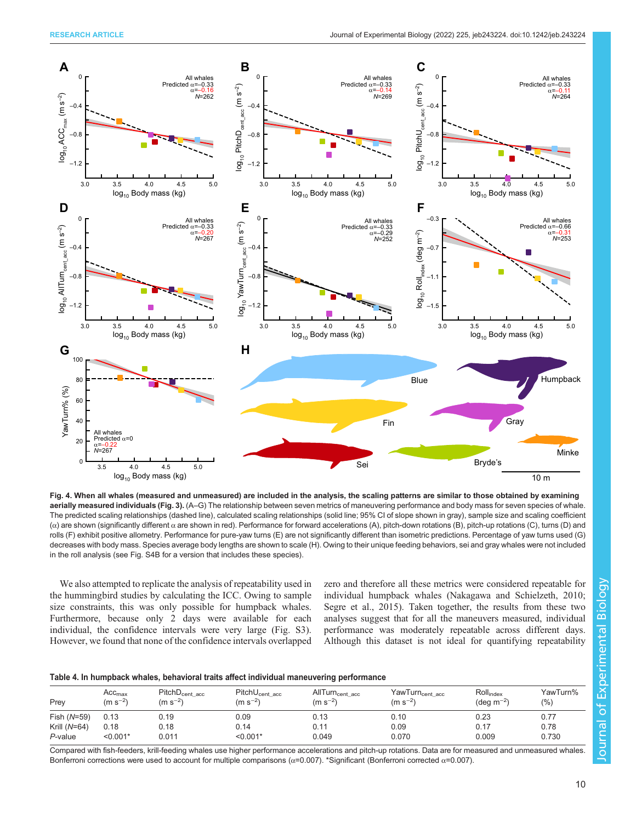<span id="page-11-0"></span>

Fig. 4. When all whales (measured and unmeasured) are included in the analysis, the scaling patterns are similar to those obtained by examining aerially measured individuals [\(Fig. 3](#page-10-0)). (A–G) The relationship between seven metrics of maneuvering performance and body mass for seven species of whale. The predicted scaling relationships (dashed line), calculated scaling relationships (solid line; 95% CI of slope shown in gray), sample size and scaling coefficient (α) are shown (significantly different α are shown in red). Performance for forward accelerations (A), pitch-down rotations (B), pitch-up rotations (C), turns (D) and rolls (F) exhibit positive allometry. Performance for pure-yaw turns (E) are not significantly different than isometric predictions. Percentage of yaw turns used (G) decreases with body mass. Species average body lengths are shown to scale (H). Owing to their unique feeding behaviors, sei and gray whales were not included in the roll analysis (see [Fig. S4B](https://journals.biologists.com/jeb/article-lookup/DOI/10.1242/jeb.243224) for a version that includes these species).

We also attempted to replicate the analysis of repeatability used in the hummingbird studies by calculating the ICC. Owing to sample size constraints, this was only possible for humpback whales. Furthermore, because only 2 days were available for each individual, the confidence intervals were very large ([Fig. S3\)](https://journals.biologists.com/jeb/article-lookup/DOI/10.1242/jeb.243224). However, we found that none of the confidence intervals overlapped zero and therefore all these metrics were considered repeatable for individual humpback whales [\(Nakagawa and Schielzeth, 2010](#page-16-0); [Segre et al., 2015\)](#page-16-0). Taken together, the results from these two analyses suggest that for all the maneuvers measured, individual performance was moderately repeatable across different days. Although this dataset is not ideal for quantifying repeatability

|  |  | Table 4. In humpback whales, behavioral traits affect individual maneuvering performance |
|--|--|------------------------------------------------------------------------------------------|
|--|--|------------------------------------------------------------------------------------------|

| Prey           | Acc <sub>max</sub><br>$(m s^{-2})$ | $PitchD_{cent \ acc}$<br>$(m s^{-2})$ | PitchU <sub>cent acc</sub><br>$(m s^{-2})$ | AllTurn <sub>cent acc</sub><br>$(m s^{-2})$ | YawTurn <sub>cent acc</sub><br>$(m s^{-2})$ | Roll <sub>index</sub><br>(deg m <sup>-2)</sup> | YawTurn%<br>(9/0) |
|----------------|------------------------------------|---------------------------------------|--------------------------------------------|---------------------------------------------|---------------------------------------------|------------------------------------------------|-------------------|
| Fish (N=59)    | 0.13                               | 0.19                                  | 0.09                                       | 0.13                                        | 0.10                                        | 0.23                                           | 0.77              |
| Krill $(N=64)$ | 0.18                               | 0.18                                  | 0.14                                       | 0.11                                        | 0.09                                        | 0.17                                           | 0.78              |
| P-value        | $< 0.001*$                         | 0.011                                 | $< 0.001*$                                 | 0.049                                       | 0.070                                       | 0.009                                          | 0.730             |

Compared with fish-feeders, krill-feeding whales use higher performance accelerations and pitch-up rotations. Data are for measured and unmeasured whales. Bonferroni corrections were used to account for multiple comparisons ( $\alpha$ =0.007). \*Significant (Bonferroni corrected  $\alpha$ =0.007).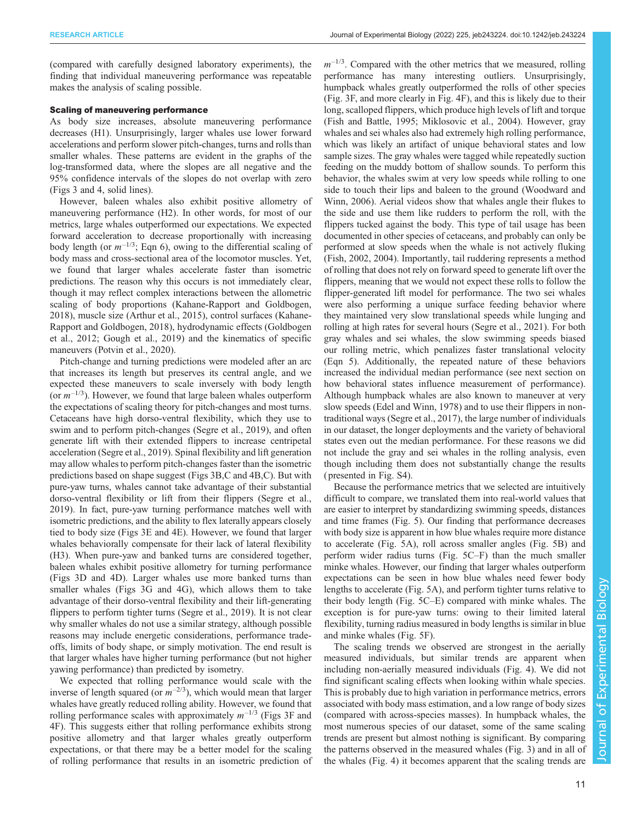(compared with carefully designed laboratory experiments), the finding that individual maneuvering performance was repeatable makes the analysis of scaling possible.

## Scaling of maneuvering performance

As body size increases, absolute maneuvering performance decreases (H1). Unsurprisingly, larger whales use lower forward accelerations and perform slower pitch-changes, turns and rolls than smaller whales. These patterns are evident in the graphs of the log-transformed data, where the slopes are all negative and the 95% confidence intervals of the slopes do not overlap with zero [\(Figs 3](#page-10-0) and [4](#page-11-0), solid lines).

However, baleen whales also exhibit positive allometry of maneuvering performance (H2). In other words, for most of our metrics, large whales outperformed our expectations. We expected forward acceleration to decrease proportionally with increasing body length (or  $m^{-1/3}$ ; Eqn 6), owing to the differential scaling of body mass and cross-sectional area of the locomotor muscles. Yet, we found that larger whales accelerate faster than isometric predictions. The reason why this occurs is not immediately clear, though it may reflect complex interactions between the allometric scaling of body proportions ([Kahane-Rapport and Goldbogen,](#page-15-0) [2018](#page-15-0)), muscle size ([Arthur et al., 2015\)](#page-15-0), control surfaces [\(Kahane-](#page-15-0)[Rapport and Goldbogen, 2018\)](#page-15-0), hydrodynamic effects ([Goldbogen](#page-15-0) [et al., 2012](#page-15-0); [Gough et al., 2019\)](#page-15-0) and the kinematics of specific maneuvers [\(Potvin et al., 2020](#page-16-0)).

Pitch-change and turning predictions were modeled after an arc that increases its length but preserves its central angle, and we expected these maneuvers to scale inversely with body length (or  $m^{-1/3}$ ). However, we found that large baleen whales outperform the expectations of scaling theory for pitch-changes and most turns. Cetaceans have high dorso-ventral flexibility, which they use to swim and to perform pitch-changes [\(Segre et al., 2019\)](#page-16-0), and often generate lift with their extended flippers to increase centripetal acceleration ([Segre et al., 2019](#page-16-0)). Spinal flexibility and lift generation may allow whales to perform pitch-changes faster than the isometric predictions based on shape suggest [\(Figs 3](#page-10-0)B,C and [4B](#page-11-0),C). But with pure-yaw turns, whales cannot take advantage of their substantial dorso-ventral flexibility or lift from their flippers [\(Segre et al.,](#page-16-0) [2019](#page-16-0)). In fact, pure-yaw turning performance matches well with isometric predictions, and the ability to flex laterally appears closely tied to body size ([Figs 3E](#page-10-0) and [4](#page-11-0)E). However, we found that larger whales behaviorally compensate for their lack of lateral flexibility (H3). When pure-yaw and banked turns are considered together, baleen whales exhibit positive allometry for turning performance [\(Figs 3D](#page-10-0) and [4D](#page-11-0)). Larger whales use more banked turns than smaller whales [\(Figs 3](#page-10-0)G and [4G](#page-11-0)), which allows them to take advantage of their dorso-ventral flexibility and their lift-generating flippers to perform tighter turns [\(Segre et al., 2019](#page-16-0)). It is not clear why smaller whales do not use a similar strategy, although possible reasons may include energetic considerations, performance tradeoffs, limits of body shape, or simply motivation. The end result is that larger whales have higher turning performance (but not higher yawing performance) than predicted by isometry.

We expected that rolling performance would scale with the inverse of length squared (or  $m^{-2/3}$ ), which would mean that larger whales have greatly reduced rolling ability. However, we found that rolling performance scales with approximately  $m^{-1/3}$  [\(Figs 3](#page-10-0)F and [4F](#page-11-0)). This suggests either that rolling performance exhibits strong positive allometry and that larger whales greatly outperform expectations, or that there may be a better model for the scaling of rolling performance that results in an isometric prediction of  $m^{-1/3}$ . Compared with the other metrics that we measured, rolling performance has many interesting outliers. Unsurprisingly, humpback whales greatly outperformed the rolls of other species [\(Fig. 3](#page-10-0)F, and more clearly in [Fig. 4F](#page-11-0)), and this is likely due to their long, scalloped flippers, which produce high levels of lift and torque [\(Fish and Battle, 1995](#page-15-0); [Miklosovic et al., 2004](#page-15-0)). However, gray whales and sei whales also had extremely high rolling performance, which was likely an artifact of unique behavioral states and low sample sizes. The gray whales were tagged while repeatedly suction feeding on the muddy bottom of shallow sounds. To perform this behavior, the whales swim at very low speeds while rolling to one side to touch their lips and baleen to the ground ([Woodward and](#page-16-0) [Winn, 2006](#page-16-0)). Aerial videos show that whales angle their flukes to the side and use them like rudders to perform the roll, with the flippers tucked against the body. This type of tail usage has been documented in other species of cetaceans, and probably can only be performed at slow speeds when the whale is not actively fluking [\(Fish, 2002](#page-15-0), [2004\)](#page-15-0). Importantly, tail ruddering represents a method of rolling that does not rely on forward speed to generate lift over the flippers, meaning that we would not expect these rolls to follow the flipper-generated lift model for performance. The two sei whales were also performing a unique surface feeding behavior where they maintained very slow translational speeds while lunging and rolling at high rates for several hours [\(Segre et al., 2021\)](#page-16-0). For both gray whales and sei whales, the slow swimming speeds biased our rolling metric, which penalizes faster translational velocity (Eqn 5). Additionally, the repeated nature of these behaviors increased the individual median performance (see next section on how behavioral states influence measurement of performance). Although humpback whales are also known to maneuver at very slow speeds [\(Edel and Winn, 1978\)](#page-15-0) and to use their flippers in nontraditional ways [\(Segre et al., 2017](#page-16-0)), the large number of individuals in our dataset, the longer deployments and the variety of behavioral states even out the median performance. For these reasons we did not include the gray and sei whales in the rolling analysis, even though including them does not substantially change the results ( presented in [Fig. S4](https://journals.biologists.com/jeb/article-lookup/DOI/10.1242/jeb.243224)).

Because the performance metrics that we selected are intuitively difficult to compare, we translated them into real-world values that are easier to interpret by standardizing swimming speeds, distances and time frames [\(Fig. 5](#page-13-0)). Our finding that performance decreases with body size is apparent in how blue whales require more distance to accelerate [\(Fig. 5A](#page-13-0)), roll across smaller angles [\(Fig. 5B](#page-13-0)) and perform wider radius turns [\(Fig. 5](#page-13-0)C–F) than the much smaller minke whales. However, our finding that larger whales outperform expectations can be seen in how blue whales need fewer body lengths to accelerate [\(Fig. 5](#page-13-0)A), and perform tighter turns relative to their body length ([Fig. 5C](#page-13-0)–E) compared with minke whales. The exception is for pure-yaw turns: owing to their limited lateral flexibility, turning radius measured in body lengths is similar in blue and minke whales [\(Fig. 5](#page-13-0)F).

The scaling trends we observed are strongest in the aerially measured individuals, but similar trends are apparent when including non-aerially measured individuals ([Fig. 4](#page-11-0)). We did not find significant scaling effects when looking within whale species. This is probably due to high variation in performance metrics, errors associated with body mass estimation, and a low range of body sizes (compared with across-species masses). In humpback whales, the most numerous species of our dataset, some of the same scaling trends are present but almost nothing is significant. By comparing the patterns observed in the measured whales ([Fig. 3](#page-10-0)) and in all of the whales [\(Fig. 4](#page-11-0)) it becomes apparent that the scaling trends are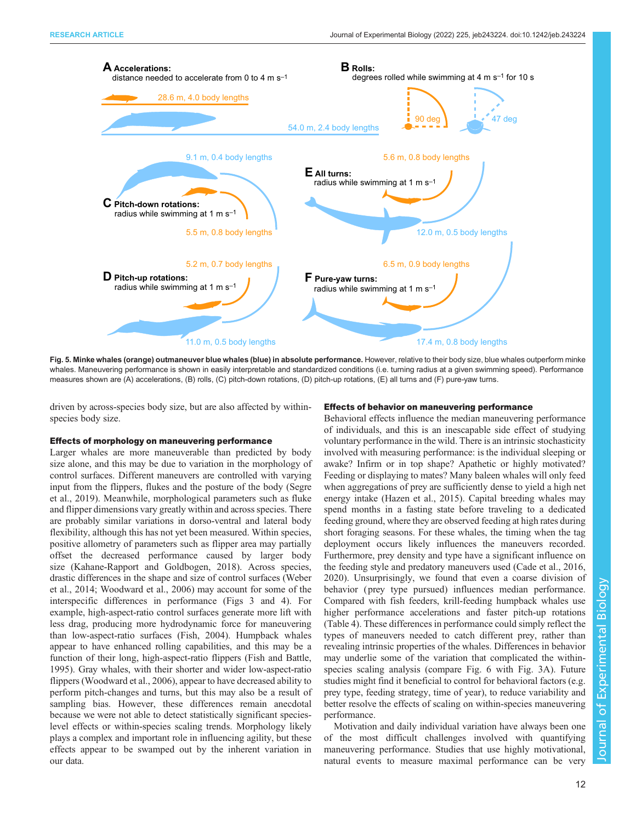<span id="page-13-0"></span>

Fig. 5. Minke whales (orange) outmaneuver blue whales (blue) in absolute performance. However, relative to their body size, blue whales outperform minke whales. Maneuvering performance is shown in easily interpretable and standardized conditions (i.e. turning radius at a given swimming speed). Performance measures shown are (A) accelerations, (B) rolls, (C) pitch-down rotations, (D) pitch-up rotations, (E) all turns and (F) pure-yaw turns.

driven by across-species body size, but are also affected by withinspecies body size.

#### Effects of morphology on maneuvering performance

Larger whales are more maneuverable than predicted by body size alone, and this may be due to variation in the morphology of control surfaces. Different maneuvers are controlled with varying input from the flippers, flukes and the posture of the body ([Segre](#page-16-0) [et al., 2019](#page-16-0)). Meanwhile, morphological parameters such as fluke and flipper dimensions vary greatly within and across species. There are probably similar variations in dorso-ventral and lateral body flexibility, although this has not yet been measured. Within species, positive allometry of parameters such as flipper area may partially offset the decreased performance caused by larger body size [\(Kahane-Rapport and Goldbogen, 2018\)](#page-15-0). Across species, drastic differences in the shape and size of control surfaces [\(Weber](#page-16-0) [et al., 2014](#page-16-0); [Woodward et al., 2006](#page-16-0)) may account for some of the interspecific differences in performance ([Figs 3](#page-10-0) and [4\)](#page-11-0). For example, high-aspect-ratio control surfaces generate more lift with less drag, producing more hydrodynamic force for maneuvering than low-aspect-ratio surfaces ([Fish, 2004\)](#page-15-0). Humpback whales appear to have enhanced rolling capabilities, and this may be a function of their long, high-aspect-ratio flippers ([Fish and Battle,](#page-15-0) [1995](#page-15-0)). Gray whales, with their shorter and wider low-aspect-ratio flippers ([Woodward et al., 2006\)](#page-16-0), appear to have decreased ability to perform pitch-changes and turns, but this may also be a result of sampling bias. However, these differences remain anecdotal because we were not able to detect statistically significant specieslevel effects or within-species scaling trends. Morphology likely plays a complex and important role in influencing agility, but these effects appear to be swamped out by the inherent variation in our data.

# Effects of behavior on maneuvering performance

Behavioral effects influence the median maneuvering performance of individuals, and this is an inescapable side effect of studying voluntary performance in the wild. There is an intrinsic stochasticity involved with measuring performance: is the individual sleeping or awake? Infirm or in top shape? Apathetic or highly motivated? Feeding or displaying to mates? Many baleen whales will only feed when aggregations of prey are sufficiently dense to yield a high net energy intake ([Hazen et al., 2015](#page-15-0)). Capital breeding whales may spend months in a fasting state before traveling to a dedicated feeding ground, where they are observed feeding at high rates during short foraging seasons. For these whales, the timing when the tag deployment occurs likely influences the maneuvers recorded. Furthermore, prey density and type have a significant influence on the feeding style and predatory maneuvers used [\(Cade et al., 2016,](#page-15-0) [2020\)](#page-15-0). Unsurprisingly, we found that even a coarse division of behavior ( prey type pursued) influences median performance. Compared with fish feeders, krill-feeding humpback whales use higher performance accelerations and faster pitch-up rotations [\(Table 4\)](#page-11-0). These differences in performance could simply reflect the types of maneuvers needed to catch different prey, rather than revealing intrinsic properties of the whales. Differences in behavior may underlie some of the variation that complicated the withinspecies scaling analysis (compare [Fig. 6](#page-14-0) with [Fig. 3](#page-10-0)A). Future studies might find it beneficial to control for behavioral factors (e.g. prey type, feeding strategy, time of year), to reduce variability and better resolve the effects of scaling on within-species maneuvering performance.

Motivation and daily individual variation have always been one of the most difficult challenges involved with quantifying maneuvering performance. Studies that use highly motivational, natural events to measure maximal performance can be very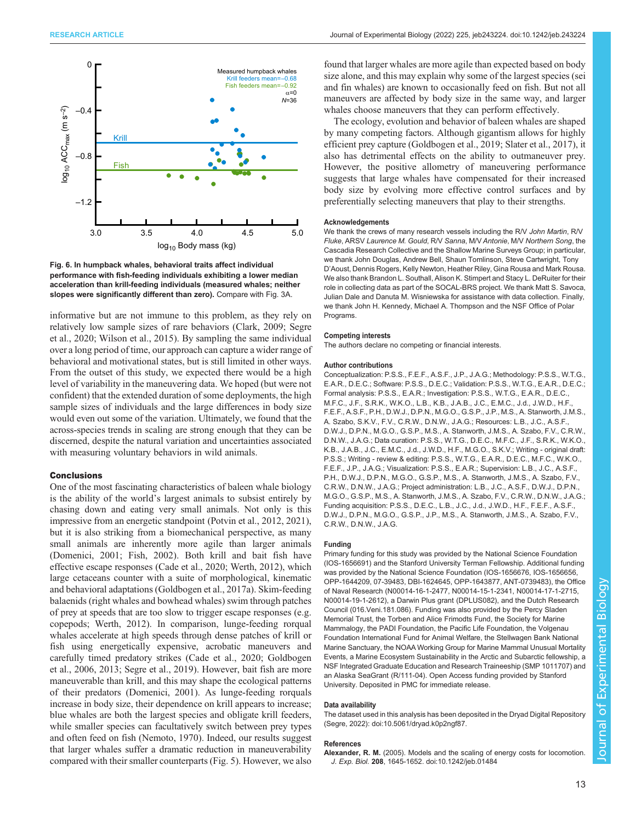<span id="page-14-0"></span>

Fig. 6. In humpback whales, behavioral traits affect individual performance with fish-feeding individuals exhibiting a lower median acceleration than krill-feeding individuals (measured whales; neither slopes were significantly different than zero). Compare with [Fig. 3A.](#page-10-0)

informative but are not immune to this problem, as they rely on relatively low sample sizes of rare behaviors [\(Clark, 2009;](#page-15-0) [Segre](#page-16-0) [et al., 2020](#page-16-0); [Wilson et al., 2015](#page-16-0)). By sampling the same individual over a long period of time, our approach can capture a wider range of behavioral and motivational states, but is still limited in other ways. From the outset of this study, we expected there would be a high level of variability in the maneuvering data. We hoped (but were not confident) that the extended duration of some deployments, the high sample sizes of individuals and the large differences in body size would even out some of the variation. Ultimately, we found that the across-species trends in scaling are strong enough that they can be discerned, despite the natural variation and uncertainties associated with measuring voluntary behaviors in wild animals.

#### **Conclusions**

One of the most fascinating characteristics of baleen whale biology is the ability of the world's largest animals to subsist entirely by chasing down and eating very small animals. Not only is this impressive from an energetic standpoint ([Potvin et al., 2012](#page-16-0), [2021\)](#page-16-0), but it is also striking from a biomechanical perspective, as many small animals are inherently more agile than larger animals [\(Domenici, 2001](#page-15-0); [Fish, 2002\)](#page-15-0). Both krill and bait fish have effective escape responses ([Cade et al., 2020;](#page-15-0) [Werth, 2012\)](#page-16-0), which large cetaceans counter with a suite of morphological, kinematic and behavioral adaptations [\(Goldbogen et al., 2017a](#page-15-0)). Skim-feeding balaenids (right whales and bowhead whales) swim through patches of prey at speeds that are too slow to trigger escape responses (e.g. copepods; [Werth, 2012\)](#page-16-0). In comparison, lunge-feeding rorqual whales accelerate at high speeds through dense patches of krill or fish using energetically expensive, acrobatic maneuvers and carefully timed predatory strikes ([Cade et al., 2020](#page-15-0); [Goldbogen](#page-15-0) [et al., 2006, 2013;](#page-15-0) [Segre et al., 2019](#page-16-0)). However, bait fish are more maneuverable than krill, and this may shape the ecological patterns of their predators [\(Domenici, 2001](#page-15-0)). As lunge-feeding rorquals increase in body size, their dependence on krill appears to increase; blue whales are both the largest species and obligate krill feeders, while smaller species can facultatively switch between prey types and often feed on fish ([Nemoto, 1970](#page-16-0)). Indeed, our results suggest that larger whales suffer a dramatic reduction in maneuverability compared with their smaller counterparts [\(Fig. 5\)](#page-13-0). However, we also

found that larger whales are more agile than expected based on body size alone, and this may explain why some of the largest species (sei and fin whales) are known to occasionally feed on fish. But not all maneuvers are affected by body size in the same way, and larger whales choose maneuvers that they can perform effectively.

The ecology, evolution and behavior of baleen whales are shaped by many competing factors. Although gigantism allows for highly efficient prey capture [\(Goldbogen et al., 2019;](#page-15-0) [Slater et al., 2017](#page-16-0)), it also has detrimental effects on the ability to outmaneuver prey. However, the positive allometry of maneuvering performance suggests that large whales have compensated for their increased body size by evolving more effective control surfaces and by preferentially selecting maneuvers that play to their strengths.

#### Acknowledgements

We thank the crews of many research vessels including the R/V John Martin, R/V Fluke, ARSV Laurence M. Gould, R/V Sanna, M/V Antonie, M/V Northern Song, the Cascadia Research Collective and the Shallow Marine Surveys Group; in particular, we thank John Douglas, Andrew Bell, Shaun Tomlinson, Steve Cartwright, Tony D'Aoust, Dennis Rogers, Kelly Newton, Heather Riley, Gina Rousa and Mark Rousa. We also thank Brandon L. Southall, Alison K. Stimpert and Stacy L. DeRuiter for their role in collecting data as part of the SOCAL-BRS project. We thank Matt S. Savoca, Julian Dale and Danuta M. Wisniewska for assistance with data collection. Finally, we thank John H. Kennedy, Michael A. Thompson and the NSF Office of Polar Programs.

#### Competing interests

The authors declare no competing or financial interests.

#### Author contributions

Conceptualization: P.S.S., F.E.F., A.S.F., J.P., J.A.G.; Methodology: P.S.S., W.T.G., E.A.R., D.E.C.; Software: P.S.S., D.E.C.; Validation: P.S.S., W.T.G., E.A.R., D.E.C.; Formal analysis: P.S.S., E.A.R.; Investigation: P.S.S., W.T.G., E.A.R., D.E.C., M.F.C., J.F., S.R.K., W.K.O., L.B., K.B., J.A.B., J.C., E.M.C., J.d., J.W.D., H.F., F.E.F., A.S.F., P.H., D.W.J., D.P.N., M.G.O., G.S.P., J.P., M.S., A. Stanworth, J.M.S., A. Szabo, S.K.V., F.V., C.R.W., D.N.W., J.A.G.; Resources: L.B., J.C., A.S.F., D.W.J., D.P.N., M.G.O., G.S.P., M.S., A. Stanworth, J.M.S., A. Szabo, F.V., C.R.W., D.N.W., J.A.G.; Data curation: P.S.S., W.T.G., D.E.C., M.F.C., J.F., S.R.K., W.K.O., K.B., J.A.B., J.C., E.M.C., J.d., J.W.D., H.F., M.G.O., S.K.V.; Writing - original draft: P.S.S.; Writing - review & editing: P.S.S., W.T.G., E.A.R., D.E.C., M.F.C., W.K.O., F.E.F., J.P., J.A.G.; Visualization: P.S.S., E.A.R.; Supervision: L.B., J.C., A.S.F., P.H., D.W.J., D.P.N., M.G.O., G.S.P., M.S., A. Stanworth, J.M.S., A. Szabo, F.V., C.R.W., D.N.W., J.A.G.; Project administration: L.B., J.C., A.S.F., D.W.J., D.P.N., M.G.O., G.S.P., M.S., A. Stanworth, J.M.S., A. Szabo, F.V., C.R.W., D.N.W., J.A.G.; Funding acquisition: P.S.S., D.E.C., L.B., J.C., J.d., J.W.D., H.F., F.E.F., A.S.F., D.W.J., D.P.N., M.G.O., G.S.P., J.P., M.S., A. Stanworth, J.M.S., A. Szabo, F.V., C.R.W., D.N.W., J.A.G.

#### Funding

Primary funding for this study was provided by the National Science Foundation (IOS-1656691) and the Stanford University Terman Fellowship. Additional funding was provided by the National Science Foundation (IOS-1656676, IOS-1656656, OPP-1644209, 07-39483, DBI-1624645, OPP-1643877, ANT-0739483), the Office of Naval Research (N00014-16-1-2477, N00014-15-1-2341, N00014-17-1-2715, N00014-19-1-2612), a Darwin Plus grant (DPLUS082), and the Dutch Research Council (016.Veni.181.086). Funding was also provided by the Percy Sladen Memorial Trust, the Torben and Alice Frimodts Fund, the Society for Marine Mammalogy, the PADI Foundation, the Pacific Life Foundation, the Volgenau Foundation International Fund for Animal Welfare, the Stellwagen Bank National Marine Sanctuary, the NOAA Working Group for Marine Mammal Unusual Mortality Events, a Marine Ecosystem Sustainability in the Arctic and Subarctic fellowship, a NSF Integrated Graduate Education and Research Traineeship (SMP 1011707) and an Alaska SeaGrant (R/111-04). Open Access funding provided by Stanford University. Deposited in PMC for immediate release.

#### Data availability

The dataset used in this analysis has been deposited in the Dryad Digital Repository [\(Segre, 2022\)](#page-16-0): [doi:10.5061/dryad.k0p2ngf87.](https://doi.org/10.5061/dryad.k0p2ngf87)

#### References

Alexander, R. M. [\(2005\). Models and the scaling of energy costs for locomotion.](https://doi.org/10.1242/jeb.01484) J. Exp. Biol. 208[, 1645-1652. doi:10.1242/jeb.01484](https://doi.org/10.1242/jeb.01484)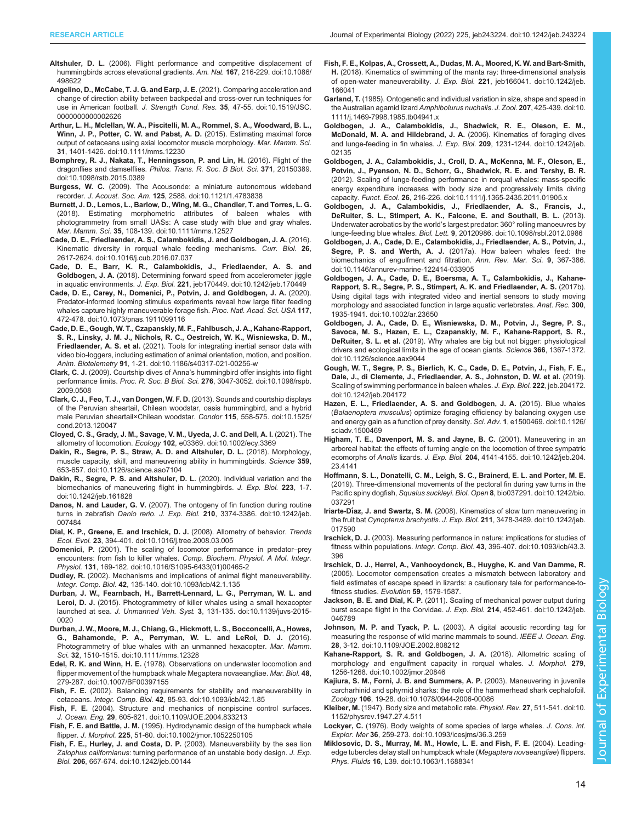- <span id="page-15-0"></span>Altshuler, D. L. [\(2006\). Flight performance and competitive displacement of](https://doi.org/10.1086/498622) [hummingbirds across elevational gradients.](https://doi.org/10.1086/498622) Am. Nat. 167, 216-229. doi:10.1086/ [498622](https://doi.org/10.1086/498622)
- [Angelino, D., McCabe, T. J. G. and Earp, J. E.](https://doi.org/10.1519/JSC.0000000000002626) (2021). Comparing acceleration and [change of direction ability between backpedal and cross-over run techniques for](https://doi.org/10.1519/JSC.0000000000002626) use in American football. J. Strength Cond. Res. 35[, 47-55. doi:10.1519/JSC.](https://doi.org/10.1519/JSC.0000000000002626) [0000000000002626](https://doi.org/10.1519/JSC.0000000000002626)
- [Arthur, L. H., Mclellan, W. A., Piscitelli, M. A., Rommel, S. A., Woodward, B. L.,](https://doi.org/10.1111/mms.12230) [Winn, J. P., Potter, C. W. and Pabst, A. D.](https://doi.org/10.1111/mms.12230) (2015). Estimating maximal force [output of cetaceans using axial locomotor muscle morphology.](https://doi.org/10.1111/mms.12230) Mar. Mamm. Sci. 31[, 1401-1426. doi:10.1111/mms.12230](https://doi.org/10.1111/mms.12230)
- [Bomphrey, R. J., Nakata, T., Henningsson, P. and Lin, H.](https://doi.org/10.1098/rstb.2015.0389) (2016). Flight of the dragonflies and damselflies. [Philos. Trans. R. Soc. B Biol. Sci.](https://doi.org/10.1098/rstb.2015.0389) 371, 20150389. [doi:10.1098/rstb.2015.0389](https://doi.org/10.1098/rstb.2015.0389)
- Burgess, W. C. [\(2009\). The Acousonde: a miniature autonomous wideband](https://doi.org/10.1121/1.4783838) recorder. J. Acoust. Soc. Am. 125[, 2588. doi:10.1121/1.4783838](https://doi.org/10.1121/1.4783838)
- [Burnett, J. D., Lemos, L., Barlow, D., Wing, M. G., Chandler, T. and Torres, L. G.](https://doi.org/10.1111/mms.12527) [\(2018\). Estimating morphometric attributes of baleen whales with](https://doi.org/10.1111/mms.12527) [photogrammetry from small UASs: A case study with blue and gray whales.](https://doi.org/10.1111/mms.12527) Mar. Mamm. Sci. 35[, 108-139. doi:10.1111/mms.12527](https://doi.org/10.1111/mms.12527)
- [Cade, D. E., Friedlaender, A. S., Calambokidis, J. and Goldbogen, J. A.](https://doi.org/10.1016/j.cub.2016.07.037) (2016). [Kinematic diversity in rorqual whale feeding mechanisms.](https://doi.org/10.1016/j.cub.2016.07.037) Curr. Biol. 26, [2617-2624. doi:10.1016/j.cub.2016.07.037](https://doi.org/10.1016/j.cub.2016.07.037)
- [Cade, D. E., Barr, K. R., Calambokidis, J., Friedlaender, A. S. and](https://doi.org/10.1242/jeb.170449) Goldbogen, J. A. [\(2018\). Determining forward speed from accelerometer jiggle](https://doi.org/10.1242/jeb.170449) in aquatic environments. J. Exp. Biol. 221[, jeb170449. doi:10.1242/jeb.170449](https://doi.org/10.1242/jeb.170449)
- [Cade, D. E., Carey, N., Domenici, P., Potvin, J. and Goldbogen, J. A.](https://doi.org/10.1073/pnas.1911099116) (2020). [Predator-informed looming stimulus experiments reveal how large filter feeding](https://doi.org/10.1073/pnas.1911099116) [whales capture highly maneuverable forage fish.](https://doi.org/10.1073/pnas.1911099116) Proc. Natl. Acad. Sci. USA 117, [472-478. doi:10.1073/pnas.1911099116](https://doi.org/10.1073/pnas.1911099116)
- [Cade, D. E., Gough, W. T., Czapanskiy, M. F., Fahlbusch, J. A., Kahane-Rapport,](https://doi.org/10.1186/s40317-021-00256-w) [S. R., Linsky, J. M. J., Nichols, R. C., Oestreich, W. K., Wisniewska, D. M.,](https://doi.org/10.1186/s40317-021-00256-w) Friedlaender, A. S. et al. [\(2021\). Tools for integrating inertial sensor data with](https://doi.org/10.1186/s40317-021-00256-w) [video bio-loggers, including estimation of animal orientation, motion, and position.](https://doi.org/10.1186/s40317-021-00256-w) Anim. Biotelemetry 91[, 1-21. doi:10.1186/s40317-021-00256-w](https://doi.org/10.1186/s40317-021-00256-w)
- Clark, C. J. (2009). Courtship dives of Anna'[s hummingbird offer insights into flight](https://doi.org/10.1098/rspb.2009.0508) performance limits. Proc. R. Soc. B Biol. Sci. 276[, 3047-3052. doi:10.1098/rspb.](https://doi.org/10.1098/rspb.2009.0508) [2009.0508](https://doi.org/10.1098/rspb.2009.0508)
- [Clark, C. J., Feo, T. J., van Dongen, W. F. D.](https://doi.org/10.1525/cond.2013.120047) (2013). Sounds and courtship displays [of the Peruvian sheartail, Chilean woodstar, oasis hummingbird, and a hybrid](https://doi.org/10.1525/cond.2013.120047) [male Peruvian sheartail×Chilean woodstar.](https://doi.org/10.1525/cond.2013.120047) Condor 115, 558-575. doi:10.1525/ [cond.2013.120047](https://doi.org/10.1525/cond.2013.120047)
- [Cloyed, C. S., Grady, J. M., Savage, V. M., Uyeda, J. C. and Dell, A. I.](https://doi.org/10.1002/ecy.3369) (2021). The allometry of locomotion. Ecology 102[, e03369. doi:10.1002/ecy.3369](https://doi.org/10.1002/ecy.3369)
- [Dakin, R., Segre, P. S., Straw, A. D. and Altshuler, D. L.](https://doi.org/10.1126/science.aao7104) (2018). Morphology, [muscle capacity, skill, and maneuvering ability in hummingbirds.](https://doi.org/10.1126/science.aao7104) Science 359, [653-657. doi:10.1126/science.aao7104](https://doi.org/10.1126/science.aao7104)
- [Dakin, R., Segre, P. S. and Altshuler, D. L.](https://doi.org/10.1242/jeb.161828) (2020). Individual variation and the [biomechanics of maneuvering flight in hummingbirds.](https://doi.org/10.1242/jeb.161828) J. Exp. Biol. 223, 1-7. [doi:10.1242/jeb.161828](https://doi.org/10.1242/jeb.161828)
- Danos, N. and Lauder, G. V. [\(2007\). The ontogeny of fin function during routine](https://doi.org/10.1242/jeb.007484) turns in zebrafish Danio rerio. J. Exp. Biol. 210[, 3374-3386. doi:10.1242/jeb.](https://doi.org/10.1242/jeb.007484) [007484](https://doi.org/10.1242/jeb.007484)
- [Dial, K. P., Greene, E. and Irschick, D. J.](https://doi.org/10.1016/j.tree.2008.03.005) (2008). Allometry of behavior. Trends Ecol. Evol. 23[, 394-401. doi:10.1016/j.tree.2008.03.005](https://doi.org/10.1016/j.tree.2008.03.005)
- Domenici, P. [\(2001\). The scaling of locomotor performance in predator](https://doi.org/10.1016/S1095-6433(01)00465-2)–prey encounters: from fish to killer whales. [Comp. Biochem. Physiol. A Mol. Integr.](https://doi.org/10.1016/S1095-6433(01)00465-2) Physiol. 131[, 169-182. doi:10.1016/S1095-6433\(01\)00465-2](https://doi.org/10.1016/S1095-6433(01)00465-2)
- Dudley, R. [\(2002\). Mechanisms and implications of animal flight maneuverability.](https://doi.org/10.1093/icb/42.1.135) Integr. Comp. Biol. 42[, 135-140. doi:10.1093/icb/42.1.135](https://doi.org/10.1093/icb/42.1.135)
- [Durban, J. W., Fearnbach, H., Barrett-Lennard, L. G., Perryman, W. L. and](https://doi.org/10.1139/juvs-2015-0020) Leroi, D. J. [\(2015\). Photogrammetry of killer whales using a small hexacopter](https://doi.org/10.1139/juvs-2015-0020) launched at sea. J. Unmanned Veh. Syst. 3[, 131-135. doi:10.1139/juvs-2015-](https://doi.org/10.1139/juvs-2015-0020) [0020](https://doi.org/10.1139/juvs-2015-0020)
- [Durban, J. W., Moore, M. J., Chiang, G., Hickmott, L. S., Bocconcelli, A., Howes,](https://doi.org/10.1111/mms.12328) [G., Bahamonde, P. A., Perryman, W. L. and LeRoi, D. J.](https://doi.org/10.1111/mms.12328) (2016). [Photogrammetry of blue whales with an unmanned hexacopter.](https://doi.org/10.1111/mms.12328) Mar. Mamm. Sci. 32[, 1510-1515. doi:10.1111/mms.12328](https://doi.org/10.1111/mms.12328)
- Edel, R. K. and Winn, H. E. [\(1978\). Observations on underwater locomotion and](https://doi.org/10.1007/BF00397155) [flipper movement of the humpback whale Megaptera novaeangliae.](https://doi.org/10.1007/BF00397155) Mar. Biol. 48, [279-287. doi:10.1007/BF00397155](https://doi.org/10.1007/BF00397155)
- Fish, F. E. [\(2002\). Balancing requirements for stability and maneuverability in](https://doi.org/10.1093/icb/42.1.85) cetaceans. Integr. Comp. Biol. 42[, 85-93. doi:10.1093/icb/42.1.85](https://doi.org/10.1093/icb/42.1.85)
- Fish, F. E. [\(2004\). Structure and mechanics of nonpiscine control surfaces.](https://doi.org/10.1109/JOE.2004.833213) J. Ocean. Eng. 29[, 605-621. doi:10.1109/JOE.2004.833213](https://doi.org/10.1109/JOE.2004.833213)
- Fish, F. E. and Battle, J. M. [\(1995\). Hydrodynamic design of the humpback whale](https://doi.org/10.1002/jmor.1052250105) flipper. J. Morphol. 225[, 51-60. doi:10.1002/jmor.1052250105](https://doi.org/10.1002/jmor.1052250105)
- [Fish, F. E., Hurley, J. and Costa, D. P.](https://doi.org/10.1242/jeb.00144) (2003). Maneuverability by the sea lion Zalophus californianus[: turning performance of an unstable body design.](https://doi.org/10.1242/jeb.00144) J. Exp. Biol. 206[, 667-674. doi:10.1242/jeb.00144](https://doi.org/10.1242/jeb.00144)
- [Fish, F. E., Kolpas, A., Crossett, A., Dudas, M. A., Moored, K. W. and Bart-Smith,](https://doi.org/10.1242/jeb.166041) H. [\(2018\). Kinematics of swimming of the manta ray: three-dimensional analysis](https://doi.org/10.1242/jeb.166041) [of open-water maneuverability.](https://doi.org/10.1242/jeb.166041) J. Exp. Biol. 221, jeb166041. doi:10.1242/jeb. [166041](https://doi.org/10.1242/jeb.166041)
- Garland, T. [\(1985\). Ontogenetic and individual variation in size, shape and speed in](https://doi.org/10.1111/j.1469-7998.1985.tb04941.x) [the Australian agamid lizard](https://doi.org/10.1111/j.1469-7998.1985.tb04941.x) Amphibolurus nuchalis. J. Zool. 207, 425-439. doi:10. [1111/j.1469-7998.1985.tb04941.x](https://doi.org/10.1111/j.1469-7998.1985.tb04941.x)
- [Goldbogen, J. A., Calambokidis, J., Shadwick, R. E., Oleson, E. M.,](https://doi.org/10.1242/jeb.02135) [McDonald, M. A. and Hildebrand, J. A.](https://doi.org/10.1242/jeb.02135) (2006). Kinematics of foraging dives [and lunge-feeding in fin whales.](https://doi.org/10.1242/jeb.02135) J. Exp. Biol. 209, 1231-1244. doi:10.1242/jeb. [02135](https://doi.org/10.1242/jeb.02135)
- [Goldbogen, J. A., Calambokidis, J., Croll, D. A., McKenna, M. F., Oleson, E.,](https://doi.org/10.1111/j.1365-2435.2011.01905.x) [Potvin, J., Pyenson, N. D., Schorr, G., Shadwick, R. E. and Tershy, B. R.](https://doi.org/10.1111/j.1365-2435.2011.01905.x) [\(2012\). Scaling of lunge-feeding performance in rorqual whales: mass-specific](https://doi.org/10.1111/j.1365-2435.2011.01905.x) [energy expenditure increases with body size and progressively limits diving](https://doi.org/10.1111/j.1365-2435.2011.01905.x) capacity. Funct. Ecol. 26[, 216-226. doi:10.1111/j.1365-2435.2011.01905.x](https://doi.org/10.1111/j.1365-2435.2011.01905.x)
- [Goldbogen, J. A., Calambokidis, J., Friedlaender, A. S., Francis, J.,](https://doi.org/10.1098/rsbl.2012.0986) [DeRuiter, S. L., Stimpert, A. K., Falcone, E. and Southall, B. L.](https://doi.org/10.1098/rsbl.2012.0986) (2013). Underwater acrobatics by the world'[s largest predator: 360° rolling manoeuvres by](https://doi.org/10.1098/rsbl.2012.0986) lunge-feeding blue whales. Biol. Lett. 9[, 20120986. doi:10.1098/rsbl.2012.0986](https://doi.org/10.1098/rsbl.2012.0986)
- [Goldbogen, J. A., Cade, D. E., Calambokidis, J., Friedlaender, A. S., Potvin, J.,](https://doi.org/10.1146/annurev-marine-122414-033905) Segre, P. S. and Werth, A. J. [\(2017a\). How baleen whales feed: the](https://doi.org/10.1146/annurev-marine-122414-033905) [biomechanics of engulfment and filtration.](https://doi.org/10.1146/annurev-marine-122414-033905) Ann. Rev. Mar. Sci. 9, 367-386. [doi:10.1146/annurev-marine-122414-033905](https://doi.org/10.1146/annurev-marine-122414-033905)
- [Goldbogen, J. A., Cade, D. E., Boersma, A. T., Calambokidis, J., Kahane-](https://doi.org/10.1002/ar.23650)[Rapport, S. R., Segre, P. S., Stimpert, A. K. and Friedlaender, A. S.](https://doi.org/10.1002/ar.23650) (2017b). [Using digital tags with integrated video and inertial sensors to study moving](https://doi.org/10.1002/ar.23650) [morphology and associated function in large aquatic vertebrates.](https://doi.org/10.1002/ar.23650) Anat. Rec. 300, [1935-1941. doi:10.1002/ar.23650](https://doi.org/10.1002/ar.23650)
- [Goldbogen, J. A., Cade, D. E., Wisniewska, D. M., Potvin, J., Segre, P. S.,](https://doi.org/10.1126/science.aax9044) [Savoca, M. S., Hazen, E. L., Czapanskiy, M. F., Kahane-Rapport, S. R.,](https://doi.org/10.1126/science.aax9044) DeRuiter, S. L. et al. [\(2019\). Why whales are big but not bigger: physiological](https://doi.org/10.1126/science.aax9044) [drivers and ecological limits in the age of ocean giants.](https://doi.org/10.1126/science.aax9044) Science 366, 1367-1372. [doi:10.1126/science.aax9044](https://doi.org/10.1126/science.aax9044)
- [Gough, W. T., Segre, P. S., Bierlich, K. C., Cade, D. E., Potvin, J., Fish, F. E.,](https://doi.org/10.1242/jeb.204172) [Dale, J., di Clemente, J., Friedlaender, A. S., Johnston, D. W. et al.](https://doi.org/10.1242/jeb.204172) (2019). [Scaling of swimming performance in baleen whales.](https://doi.org/10.1242/jeb.204172) J. Exp. Biol. 222, jeb.204172. [doi:10.1242/jeb.204172](https://doi.org/10.1242/jeb.204172)
- [Hazen, E. L., Friedlaender, A. S. and Goldbogen, J. A.](https://doi.org/10.1126/sciadv.1500469) (2015). Blue whales (Balaenoptera musculus[\) optimize foraging efficiency by balancing oxygen use](https://doi.org/10.1126/sciadv.1500469) [and energy gain as a function of prey density.](https://doi.org/10.1126/sciadv.1500469) Sci. Adv. 1, e1500469. doi:10.1126/ [sciadv.1500469](https://doi.org/10.1126/sciadv.1500469)
- [Higham, T. E., Davenport, M. S. and Jayne, B. C.](https://doi.org/10.1242/jeb.204.23.4141) (2001). Maneuvering in an [arboreal habitat: the effects of turning angle on the locomotion of three sympatric](https://doi.org/10.1242/jeb.204.23.4141) ecomorphs of Anolis lizards. J. Exp. Biol. 204[, 4141-4155. doi:10.1242/jeb.204.](https://doi.org/10.1242/jeb.204.23.4141) [23.4141](https://doi.org/10.1242/jeb.204.23.4141)
- [Hoffmann, S. L., Donatelli, C. M., Leigh, S. C., Brainerd, E. L. and Porter, M. E.](https://doi.org/10.1242/bio.037291) [\(2019\). Three-dimensional movements of the pectoral fin during yaw turns in the](https://doi.org/10.1242/bio.037291) Pacific spiny dogfish, Squalus suckleyi. Biol. Open 8[, bio037291. doi:10.1242/bio.](https://doi.org/10.1242/bio.037291) [037291](https://doi.org/10.1242/bio.037291)
- Iriarte-Díaz, J. and Swartz, S. M. [\(2008\). Kinematics of slow turn maneuvering in](https://doi.org/10.1242/jeb.017590) the fruit bat Cynopterus brachyotis. J. Exp. Biol. 211[, 3478-3489. doi:10.1242/jeb.](https://doi.org/10.1242/jeb.017590) [017590](https://doi.org/10.1242/jeb.017590)

Irschick, D. J. [\(2003\). Measuring performance in nature: implications for studies of](https://doi.org/10.1093/icb/43.3.396) fitness within populations. Integr. Comp. Biol. 43[, 396-407. doi:10.1093/icb/43.3.](https://doi.org/10.1093/icb/43.3.396) [396](https://doi.org/10.1093/icb/43.3.396)

- Irschick, D. J., Herrel, A., Vanhooydonck, B., Huyghe, K. and Van Damme, R. (2005). Locomotor compensation creates a mismatch between laboratory and field estimates of escape speed in lizards: a cautionary tale for performance-tofitness studies. Evolution 59, 1579-1587.
- Jackson, B. E. and Dial, K. P. [\(2011\). Scaling of mechanical power output during](https://doi.org/10.1242/jeb.046789) [burst escape flight in the Corvidae.](https://doi.org/10.1242/jeb.046789) J. Exp. Biol. 214, 452-461. doi:10.1242/jeb. [046789](https://doi.org/10.1242/jeb.046789)
- Johnson, M. P. and Tyack, P. L. [\(2003\). A digital acoustic recording tag for](https://doi.org/10.1109/JOE.2002.808212) [measuring the response of wild marine mammals to sound.](https://doi.org/10.1109/JOE.2002.808212) IEEE J. Ocean. Eng. 28[, 3-12. doi:10.1109/JOE.2002.808212](https://doi.org/10.1109/JOE.2002.808212)
- [Kahane-Rapport, S. R. and Goldbogen, J. A.](https://doi.org/10.1002/jmor.20846) (2018). Allometric scaling of [morphology and engulfment capacity in rorqual whales.](https://doi.org/10.1002/jmor.20846) J. Morphol. 279, [1256-1268. doi:10.1002/jmor.20846](https://doi.org/10.1002/jmor.20846)
- [Kajiura, S. M., Forni, J. B. and Summers, A. P.](https://doi.org/10.1078/0944-2006-00086) (2003). Maneuvering in juvenile [carcharhinid and sphyrnid sharks: the role of the hammerhead shark cephalofoil.](https://doi.org/10.1078/0944-2006-00086) Zoology 106[, 19-28. doi:10.1078/0944-2006-00086](https://doi.org/10.1078/0944-2006-00086)
- Kleiber, M. [\(1947\). Body size and metabolic rate.](https://doi.org/10.1152/physrev.1947.27.4.511) Physiol. Rev. 27, 511-541. doi:10. [1152/physrev.1947.27.4.511](https://doi.org/10.1152/physrev.1947.27.4.511)
- Lockyer, C. [\(1976\). Body weights of some species of large whales.](https://doi.org/10.1093/icesjms/36.3.259) J. Cons. int. Explor. Mer 36[, 259-273. doi:10.1093/icesjms/36.3.259](https://doi.org/10.1093/icesjms/36.3.259)
- [Miklosovic, D. S., Murray, M. M., Howle, L. E. and Fish, F. E.](https://doi.org/10.1063/1.1688341) (2004). Leading[edge tubercles delay stall on humpback whale \(](https://doi.org/10.1063/1.1688341)Megaptera novaeangliae) flippers. Phys. Fluids 16[, L39. doi:10.1063/1.1688341](https://doi.org/10.1063/1.1688341)